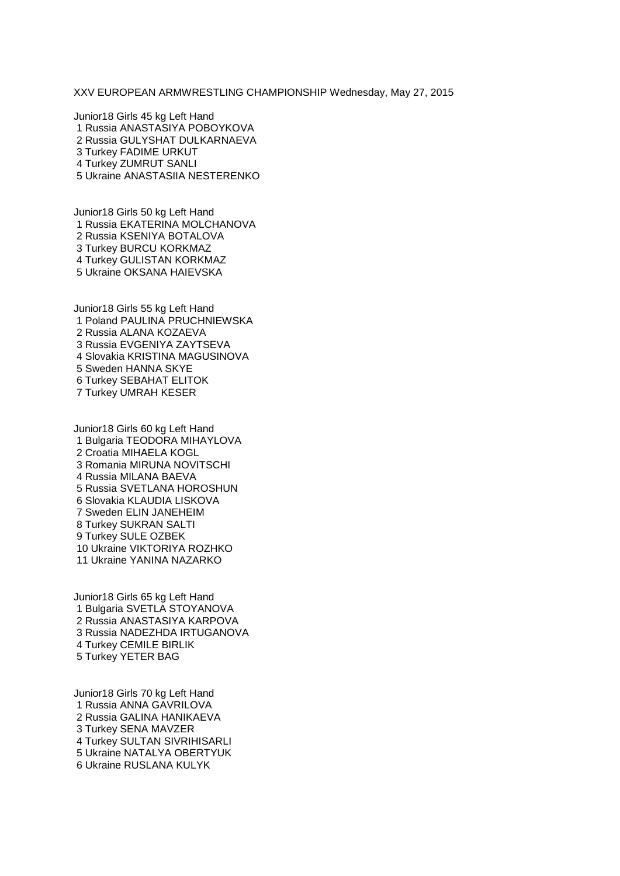XXV EUROPEAN ARMWRESTLING CHAMPIONSHIP Wednesday, May 27, 2015

Junior18 Girls 45 kg Left Hand Russia ANASTASIYA POBOYKOVA Russia GULYSHAT DULKARNAEVA Turkey FADIME URKUT Turkey ZUMRUT SANLI Ukraine ANASTASIIA NESTERENKO

Junior18 Girls 50 kg Left Hand Russia EKATERINA MOLCHANOVA Russia KSENIYA BOTALOVA Turkey BURCU KORKMAZ Turkey GULISTAN KORKMAZ Ukraine OKSANA HAIEVSKA

Junior18 Girls 55 kg Left Hand Poland PAULINA PRUCHNIEWSKA Russia ALANA KOZAEVA Russia EVGENIYA ZAYTSEVA Slovakia KRISTINA MAGUSINOVA Sweden HANNA SKYE Turkey SEBAHAT ELITOK Turkey UMRAH KESER

Junior18 Girls 60 kg Left Hand Bulgaria TEODORA MIHAYLOVA Croatia MIHAELA KOGL Romania MIRUNA NOVITSCHI Russia MILANA BAEVA Russia SVETLANA HOROSHUN Slovakia KLAUDIA LISKOVA Sweden ELIN JANEHEIM Turkey SUKRAN SALTI Turkey SULE OZBEK Ukraine VIKTORIYA ROZHKO Ukraine YANINA NAZARKO

Junior18 Girls 65 kg Left Hand Bulgaria SVETLA STOYANOVA Russia ANASTASIYA KARPOVA Russia NADEZHDA IRTUGANOVA Turkey CEMILE BIRLIK Turkey YETER BAG

Junior18 Girls 70 kg Left Hand Russia ANNA GAVRILOVA Russia GALINA HANIKAEVA Turkey SENA MAVZER Turkey SULTAN SIVRIHISARLI Ukraine NATALYA OBERTYUK Ukraine RUSLANA KULYK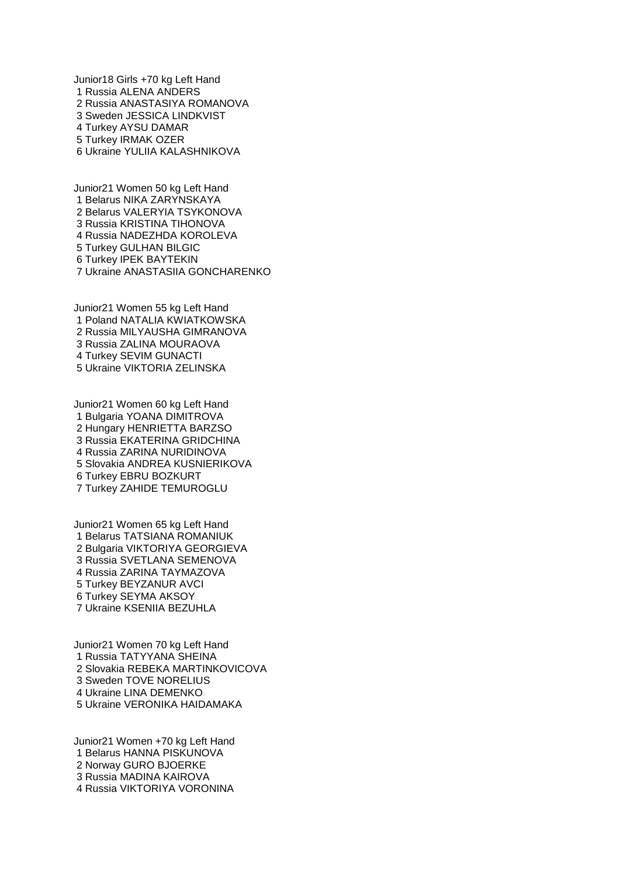Junior18 Girls +70 kg Left Hand Russia ALENA ANDERS Russia ANASTASIYA ROMANOVA Sweden JESSICA LINDKVIST Turkey AYSU DAMAR Turkey IRMAK OZER Ukraine YULIIA KALASHNIKOVA

Junior21 Women 50 kg Left Hand Belarus NIKA ZARYNSKAYA Belarus VALERYIA TSYKONOVA Russia KRISTINA TIHONOVA Russia NADEZHDA KOROLEVA Turkey GULHAN BILGIC Turkey IPEK BAYTEKIN Ukraine ANASTASIIA GONCHARENKO

Junior21 Women 55 kg Left Hand Poland NATALIA KWIATKOWSKA Russia MILYAUSHA GIMRANOVA Russia ZALINA MOURAOVA Turkey SEVIM GUNACTI Ukraine VIKTORIA ZELINSKA

Junior21 Women 60 kg Left Hand Bulgaria YOANA DIMITROVA Hungary HENRIETTA BARZSO Russia EKATERINA GRIDCHINA Russia ZARINA NURIDINOVA Slovakia ANDREA KUSNIERIKOVA Turkey EBRU BOZKURT Turkey ZAHIDE TEMUROGLU

Junior21 Women 65 kg Left Hand Belarus TATSIANA ROMANIUK Bulgaria VIKTORIYA GEORGIEVA Russia SVETLANA SEMENOVA Russia ZARINA TAYMAZOVA Turkey BEYZANUR AVCI Turkey SEYMA AKSOY Ukraine KSENIIA BEZUHLA

Junior21 Women 70 kg Left Hand Russia TATYYANA SHEINA Slovakia REBEKA MARTINKOVICOVA Sweden TOVE NORELIUS Ukraine LINA DEMENKO Ukraine VERONIKA HAIDAMAKA

Junior21 Women +70 kg Left Hand Belarus HANNA PISKUNOVA Norway GURO BJOERKE Russia MADINA KAIROVA Russia VIKTORIYA VORONINA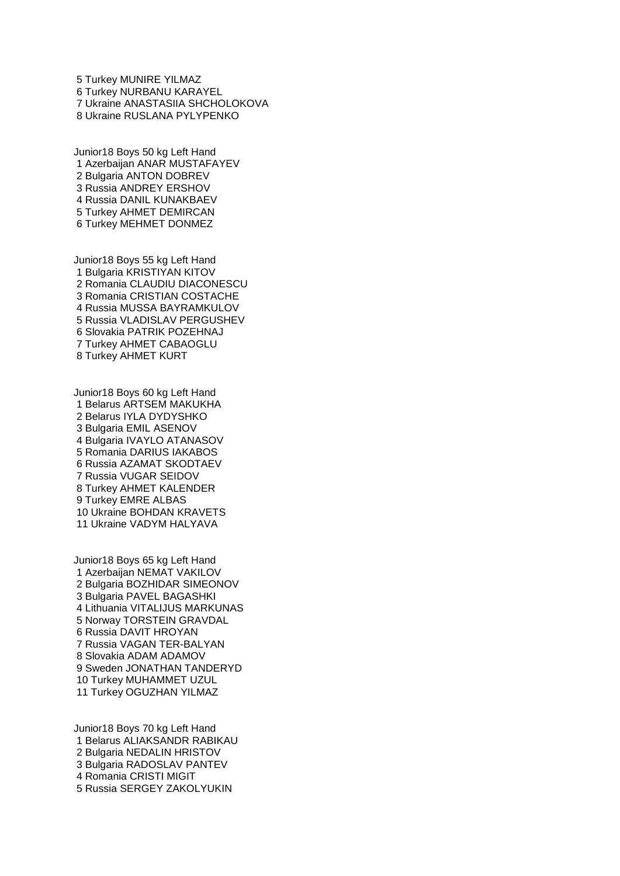Turkey MUNIRE YILMAZ Turkey NURBANU KARAYEL Ukraine ANASTASIIA SHCHOLOKOVA Ukraine RUSLANA PYLYPENKO

Junior18 Boys 50 kg Left Hand Azerbaijan ANAR MUSTAFAYEV Bulgaria ANTON DOBREV Russia ANDREY ERSHOV Russia DANIL KUNAKBAEV Turkey AHMET DEMIRCAN Turkey MEHMET DONMEZ

Junior18 Boys 55 kg Left Hand Bulgaria KRISTIYAN KITOV Romania CLAUDIU DIACONESCU Romania CRISTIAN COSTACHE Russia MUSSA BAYRAMKULOV Russia VLADISLAV PERGUSHEV Slovakia PATRIK POZEHNAJ Turkey AHMET CABAOGLU Turkey AHMET KURT

Junior18 Boys 60 kg Left Hand Belarus ARTSEM MAKUKHA Belarus IYLA DYDYSHKO Bulgaria EMIL ASENOV Bulgaria IVAYLO ATANASOV Romania DARIUS IAKABOS Russia AZAMAT SKODTAEV Russia VUGAR SEIDOV Turkey AHMET KALENDER Turkey EMRE ALBAS Ukraine BOHDAN KRAVETS Ukraine VADYM HALYAVA

Junior18 Boys 65 kg Left Hand Azerbaijan NEMAT VAKILOV Bulgaria BOZHIDAR SIMEONOV Bulgaria PAVEL BAGASHKI Lithuania VITALIJUS MARKUNAS Norway TORSTEIN GRAVDAL Russia DAVIT HROYAN Russia VAGAN TER-BALYAN Slovakia ADAM ADAMOV Sweden JONATHAN TANDERYD Turkey MUHAMMET UZUL Turkey OGUZHAN YILMAZ

Junior18 Boys 70 kg Left Hand Belarus ALIAKSANDR RABIKAU Bulgaria NEDALIN HRISTOV Bulgaria RADOSLAV PANTEV Romania CRISTI MIGIT Russia SERGEY ZAKOLYUKIN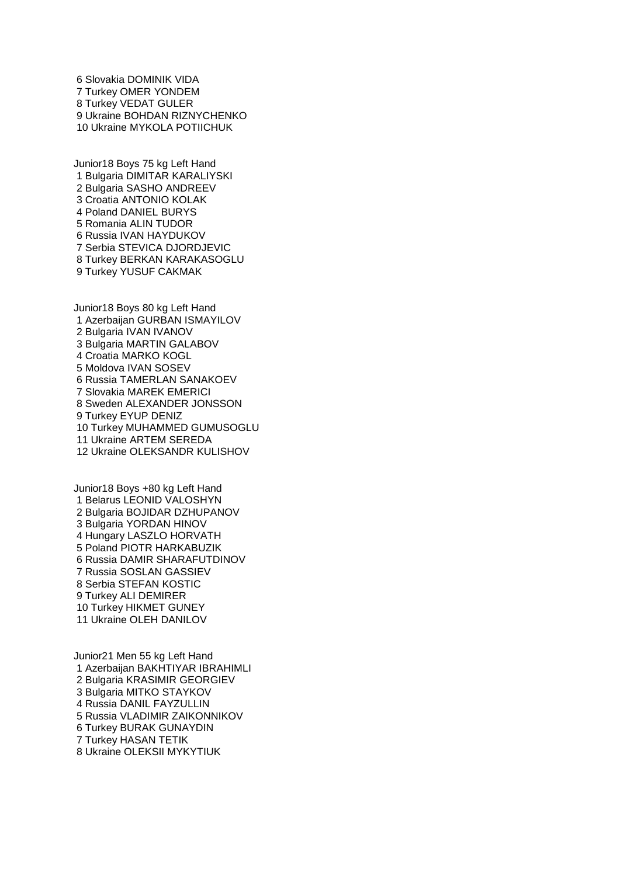Slovakia DOMINIK VIDA Turkey OMER YONDEM Turkey VEDAT GULER Ukraine BOHDAN RIZNYCHENKO Ukraine MYKOLA POTIICHUK

Junior18 Boys 75 kg Left Hand Bulgaria DIMITAR KARALIYSKI Bulgaria SASHO ANDREEV Croatia ANTONIO KOLAK Poland DANIEL BURYS Romania ALIN TUDOR Russia IVAN HAYDUKOV Serbia STEVICA DJORDJEVIC Turkey BERKAN KARAKASOGLU Turkey YUSUF CAKMAK

Junior18 Boys 80 kg Left Hand Azerbaijan GURBAN ISMAYILOV Bulgaria IVAN IVANOV Bulgaria MARTIN GALABOV Croatia MARKO KOGL Moldova IVAN SOSEV Russia TAMERLAN SANAKOEV Slovakia MAREK EMERICI Sweden ALEXANDER JONSSON Turkey EYUP DENIZ Turkey MUHAMMED GUMUSOGLU Ukraine ARTEM SEREDA Ukraine OLEKSANDR KULISHOV

Junior18 Boys +80 kg Left Hand Belarus LEONID VALOSHYN Bulgaria BOJIDAR DZHUPANOV Bulgaria YORDAN HINOV Hungary LASZLO HORVATH Poland PIOTR HARKABUZIK Russia DAMIR SHARAFUTDINOV Russia SOSLAN GASSIEV Serbia STEFAN KOSTIC Turkey ALI DEMIRER Turkey HIKMET GUNEY Ukraine OLEH DANILOV

Junior21 Men 55 kg Left Hand Azerbaijan BAKHTIYAR IBRAHIMLI Bulgaria KRASIMIR GEORGIEV Bulgaria MITKO STAYKOV Russia DANIL FAYZULLIN Russia VLADIMIR ZAIKONNIKOV Turkey BURAK GUNAYDIN Turkey HASAN TETIK Ukraine OLEKSII MYKYTIUK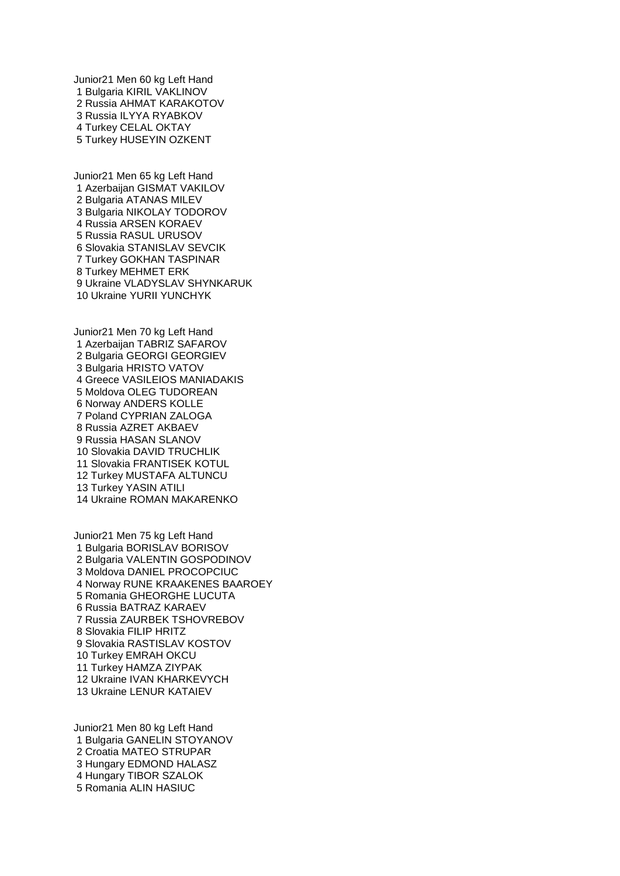Junior21 Men 60 kg Left Hand Bulgaria KIRIL VAKLINOV Russia AHMAT KARAKOTOV Russia ILYYA RYABKOV Turkey CELAL OKTAY Turkey HUSEYIN OZKENT

Junior21 Men 65 kg Left Hand Azerbaijan GISMAT VAKILOV Bulgaria ATANAS MILEV Bulgaria NIKOLAY TODOROV Russia ARSEN KORAEV Russia RASUL URUSOV Slovakia STANISLAV SEVCIK Turkey GOKHAN TASPINAR Turkey MEHMET ERK Ukraine VLADYSLAV SHYNKARUK Ukraine YURII YUNCHYK

Junior21 Men 70 kg Left Hand Azerbaijan TABRIZ SAFAROV Bulgaria GEORGI GEORGIEV Bulgaria HRISTO VATOV Greece VASILEIOS MANIADAKIS Moldova OLEG TUDOREAN Norway ANDERS KOLLE Poland CYPRIAN ZALOGA Russia AZRET AKBAEV Russia HASAN SLANOV Slovakia DAVID TRUCHLIK Slovakia FRANTISEK KOTUL Turkey MUSTAFA ALTUNCU Turkey YASIN ATILI Ukraine ROMAN MAKARENKO

Junior21 Men 75 kg Left Hand Bulgaria BORISLAV BORISOV Bulgaria VALENTIN GOSPODINOV Moldova DANIEL PROCOPCIUC Norway RUNE KRAAKENES BAAROEY Romania GHEORGHE LUCUTA Russia BATRAZ KARAEV Russia ZAURBEK TSHOVREBOV Slovakia FILIP HRITZ Slovakia RASTISLAV KOSTOV Turkey EMRAH OKCU Turkey HAMZA ZIYPAK Ukraine IVAN KHARKEVYCH Ukraine LENUR KATAIEV

Junior21 Men 80 kg Left Hand Bulgaria GANELIN STOYANOV Croatia MATEO STRUPAR Hungary EDMOND HALASZ Hungary TIBOR SZALOK Romania ALIN HASIUC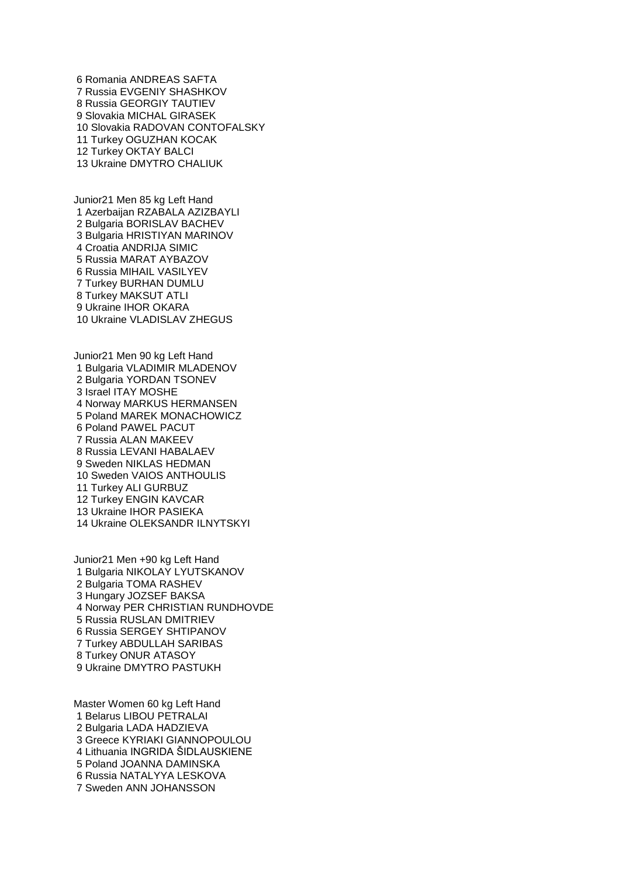Romania ANDREAS SAFTA Russia EVGENIY SHASHKOV Russia GEORGIY TAUTIEV Slovakia MICHAL GIRASEK Slovakia RADOVAN CONTOFALSKY Turkey OGUZHAN KOCAK Turkey OKTAY BALCI Ukraine DMYTRO CHALIUK

Junior21 Men 85 kg Left Hand Azerbaijan RZABALA AZIZBAYLI Bulgaria BORISLAV BACHEV Bulgaria HRISTIYAN MARINOV Croatia ANDRIJA SIMIC Russia MARAT AYBAZOV Russia MIHAIL VASILYEV Turkey BURHAN DUMLU Turkey MAKSUT ATLI Ukraine IHOR OKARA Ukraine VLADISLAV ZHEGUS

Junior21 Men 90 kg Left Hand Bulgaria VLADIMIR MLADENOV Bulgaria YORDAN TSONEV Israel ITAY MOSHE Norway MARKUS HERMANSEN Poland MAREK MONACHOWICZ Poland PAWEL PACUT Russia ALAN MAKEEV Russia LEVANI HABALAEV Sweden NIKLAS HEDMAN Sweden VAIOS ANTHOULIS Turkey ALI GURBUZ Turkey ENGIN KAVCAR Ukraine IHOR PASIEKA Ukraine OLEKSANDR ILNYTSKYI

Junior21 Men +90 kg Left Hand Bulgaria NIKOLAY LYUTSKANOV Bulgaria TOMA RASHEV Hungary JOZSEF BAKSA Norway PER CHRISTIAN RUNDHOVDE Russia RUSLAN DMITRIEV Russia SERGEY SHTIPANOV Turkey ABDULLAH SARIBAS Turkey ONUR ATASOY Ukraine DMYTRO PASTUKH

Master Women 60 kg Left Hand Belarus LIBOU PETRALAI Bulgaria LADA HADZIEVA Greece KYRIAKI GIANNOPOULOU Lithuania INGRIDA ŠIDLAUSKIENE Poland JOANNA DAMINSKA Russia NATALYYA LESKOVA Sweden ANN JOHANSSON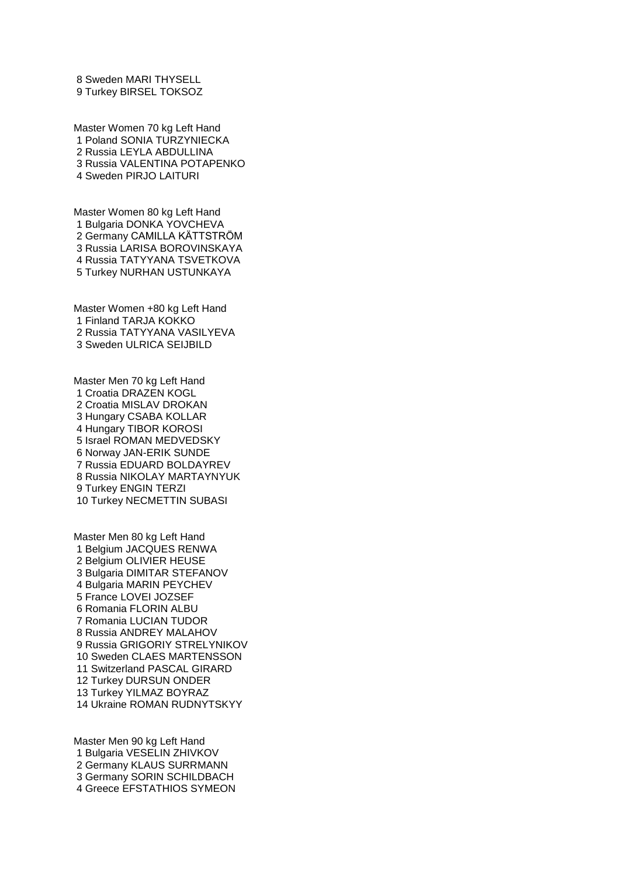Sweden MARI THYSELL Turkey BIRSEL TOKSOZ

Master Women 70 kg Left Hand Poland SONIA TURZYNIECKA Russia LEYLA ABDULLINA Russia VALENTINA POTAPENKO Sweden PIRJO LAITURI

Master Women 80 kg Left Hand Bulgaria DONKA YOVCHEVA Germany CAMILLA KÄTTSTRÖM Russia LARISA BOROVINSKAYA Russia TATYYANA TSVETKOVA Turkey NURHAN USTUNKAYA

Master Women +80 kg Left Hand Finland TARJA KOKKO Russia TATYYANA VASILYEVA Sweden ULRICA SEIJBILD

Master Men 70 kg Left Hand Croatia DRAZEN KOGL Croatia MISLAV DROKAN Hungary CSABA KOLLAR Hungary TIBOR KOROSI Israel ROMAN MEDVEDSKY Norway JAN-ERIK SUNDE Russia EDUARD BOLDAYREV Russia NIKOLAY MARTAYNYUK Turkey ENGIN TERZI Turkey NECMETTIN SUBASI

Master Men 80 kg Left Hand Belgium JACQUES RENWA Belgium OLIVIER HEUSE Bulgaria DIMITAR STEFANOV Bulgaria MARIN PEYCHEV France LOVEI JOZSEF Romania FLORIN ALBU Romania LUCIAN TUDOR Russia ANDREY MALAHOV Russia GRIGORIY STRELYNIKOV Sweden CLAES MARTENSSON Switzerland PASCAL GIRARD Turkey DURSUN ONDER Turkey YILMAZ BOYRAZ Ukraine ROMAN RUDNYTSKYY

Master Men 90 kg Left Hand Bulgaria VESELIN ZHIVKOV Germany KLAUS SURRMANN Germany SORIN SCHILDBACH Greece EFSTATHIOS SYMEON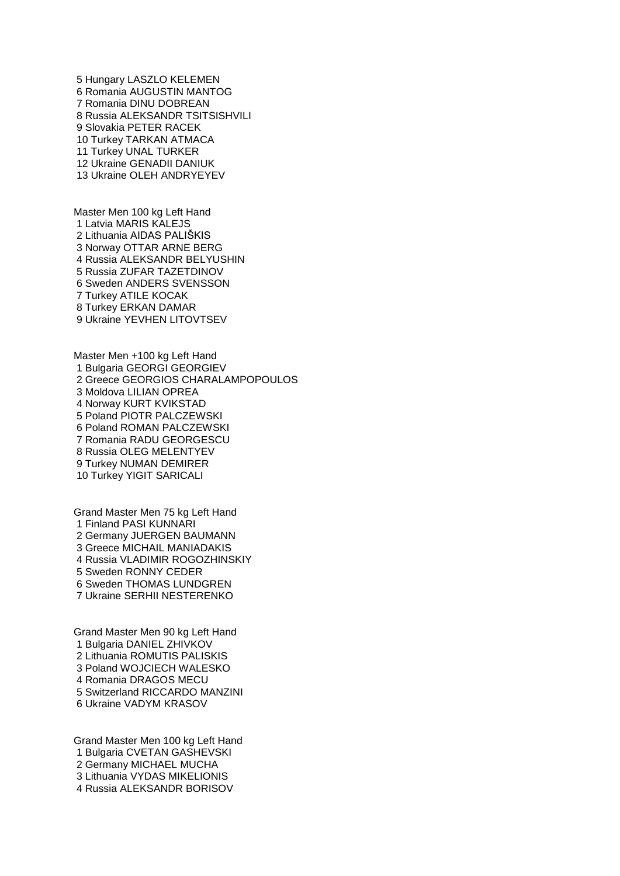Hungary LASZLO KELEMEN Romania AUGUSTIN MANTOG Romania DINU DOBREAN Russia ALEKSANDR TSITSISHVILI Slovakia PETER RACEK Turkey TARKAN ATMACA Turkey UNAL TURKER Ukraine GENADII DANIUK Ukraine OLEH ANDRYEYEV

Master Men 100 kg Left Hand Latvia MARIS KALEJS Lithuania AIDAS PALIŠKIS Norway OTTAR ARNE BERG Russia ALEKSANDR BELYUSHIN Russia ZUFAR TAZETDINOV Sweden ANDERS SVENSSON Turkey ATILE KOCAK Turkey ERKAN DAMAR Ukraine YEVHEN LITOVTSEV

Master Men +100 kg Left Hand Bulgaria GEORGI GEORGIEV Greece GEORGIOS CHARALAMPOPOULOS Moldova LILIAN OPREA Norway KURT KVIKSTAD Poland PIOTR PALCZEWSKI Poland ROMAN PALCZEWSKI Romania RADU GEORGESCU Russia OLEG MELENTYEV Turkey NUMAN DEMIRER Turkey YIGIT SARICALI

Grand Master Men 75 kg Left Hand Finland PASI KUNNARI Germany JUERGEN BAUMANN Greece MICHAIL MANIADAKIS Russia VLADIMIR ROGOZHINSKIY Sweden RONNY CEDER Sweden THOMAS LUNDGREN Ukraine SERHII NESTERENKO

Grand Master Men 90 kg Left Hand Bulgaria DANIEL ZHIVKOV Lithuania ROMUTIS PALISKIS Poland WOJCIECH WALESKO Romania DRAGOS MECU Switzerland RICCARDO MANZINI Ukraine VADYM KRASOV

Grand Master Men 100 kg Left Hand Bulgaria CVETAN GASHEVSKI Germany MICHAEL MUCHA Lithuania VYDAS MIKELIONIS Russia ALEKSANDR BORISOV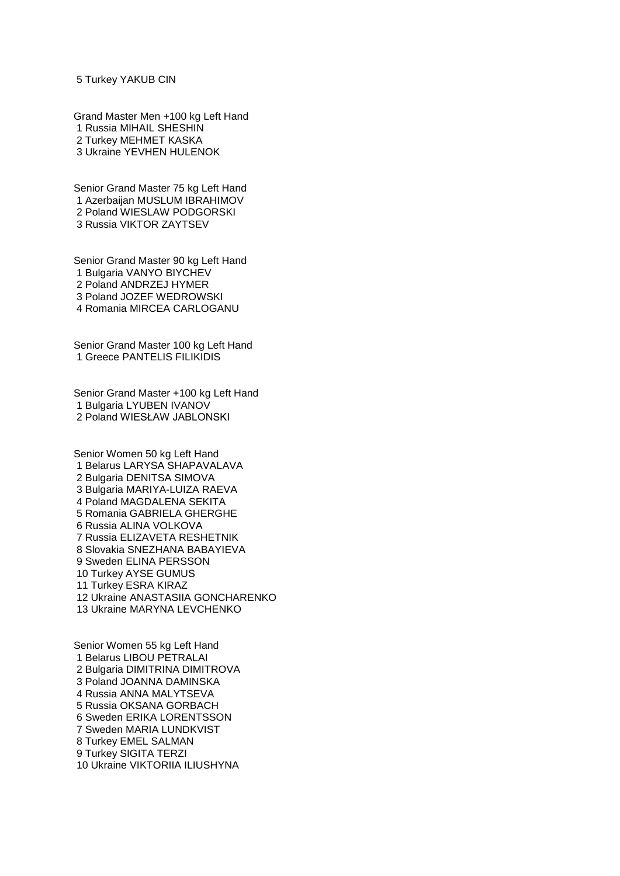## Turkey YAKUB CIN

Grand Master Men +100 kg Left Hand Russia MIHAIL SHESHIN Turkey MEHMET KASKA Ukraine YEVHEN HULENOK

Senior Grand Master 75 kg Left Hand Azerbaijan MUSLUM IBRAHIMOV Poland WIESLAW PODGORSKI Russia VIKTOR ZAYTSEV

Senior Grand Master 90 kg Left Hand Bulgaria VANYO BIYCHEV Poland ANDRZEJ HYMER Poland JOZEF WEDROWSKI Romania MIRCEA CARLOGANU

Senior Grand Master 100 kg Left Hand Greece PANTELIS FILIKIDIS

Senior Grand Master +100 kg Left Hand Bulgaria LYUBEN IVANOV Poland WIESŁAW JABLONSKI

Senior Women 50 kg Left Hand Belarus LARYSA SHAPAVALAVA Bulgaria DENITSA SIMOVA Bulgaria MARIYA-LUIZA RAEVA Poland MAGDALENA SEKITA Romania GABRIELA GHERGHE Russia ALINA VOLKOVA Russia ELIZAVETA RESHETNIK Slovakia SNEZHANA BABAYIEVA Sweden ELINA PERSSON Turkey AYSE GUMUS Turkey ESRA KIRAZ Ukraine ANASTASIIA GONCHARENKO Ukraine MARYNA LEVCHENKO

Senior Women 55 kg Left Hand Belarus LIBOU PETRALAI Bulgaria DIMITRINA DIMITROVA Poland JOANNA DAMINSKA Russia ANNA MALYTSEVA Russia OKSANA GORBACH Sweden ERIKA LORENTSSON Sweden MARIA LUNDKVIST Turkey EMEL SALMAN Turkey SIGITA TERZI Ukraine VIKTORIIA ILIUSHYNA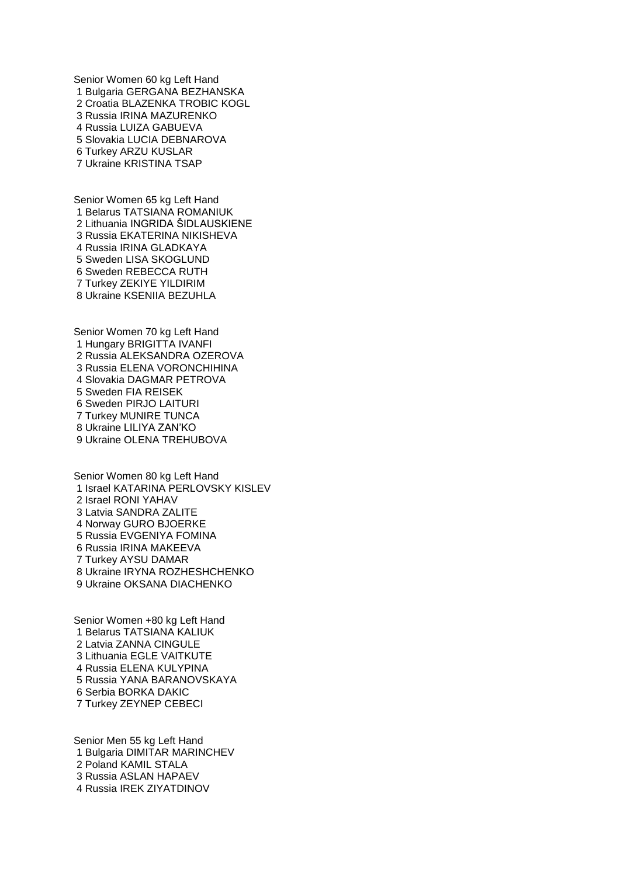Senior Women 60 kg Left Hand Bulgaria GERGANA BEZHANSKA Croatia BLAZENKA TROBIC KOGL Russia IRINA MAZURENKO Russia LUIZA GABUEVA Slovakia LUCIA DEBNAROVA Turkey ARZU KUSLAR Ukraine KRISTINA TSAP

Senior Women 65 kg Left Hand Belarus TATSIANA ROMANIUK Lithuania INGRIDA ŠIDLAUSKIENE Russia EKATERINA NIKISHEVA Russia IRINA GLADKAYA Sweden LISA SKOGLUND Sweden REBECCA RUTH Turkey ZEKIYE YILDIRIM Ukraine KSENIIA BEZUHLA

Senior Women 70 kg Left Hand Hungary BRIGITTA IVANFI Russia ALEKSANDRA OZEROVA Russia ELENA VORONCHIHINA Slovakia DAGMAR PETROVA Sweden FIA REISEK Sweden PIRJO LAITURI Turkey MUNIRE TUNCA Ukraine LILIYA ZAN'KO Ukraine OLENA TREHUBOVA

Senior Women 80 kg Left Hand Israel KATARINA PERLOVSKY KISLEV Israel RONI YAHAV Latvia SANDRA ZALITE Norway GURO BJOERKE Russia EVGENIYA FOMINA Russia IRINA MAKEEVA Turkey AYSU DAMAR Ukraine IRYNA ROZHESHCHENKO Ukraine OKSANA DIACHENKO

Senior Women +80 kg Left Hand Belarus TATSIANA KALIUK Latvia ZANNA CINGULE Lithuania EGLE VAITKUTE Russia ELENA KULYPINA Russia YANA BARANOVSKAYA Serbia BORKA DAKIC Turkey ZEYNEP CEBECI

Senior Men 55 kg Left Hand Bulgaria DIMITAR MARINCHEV Poland KAMIL STALA Russia ASLAN HAPAEV Russia IREK ZIYATDINOV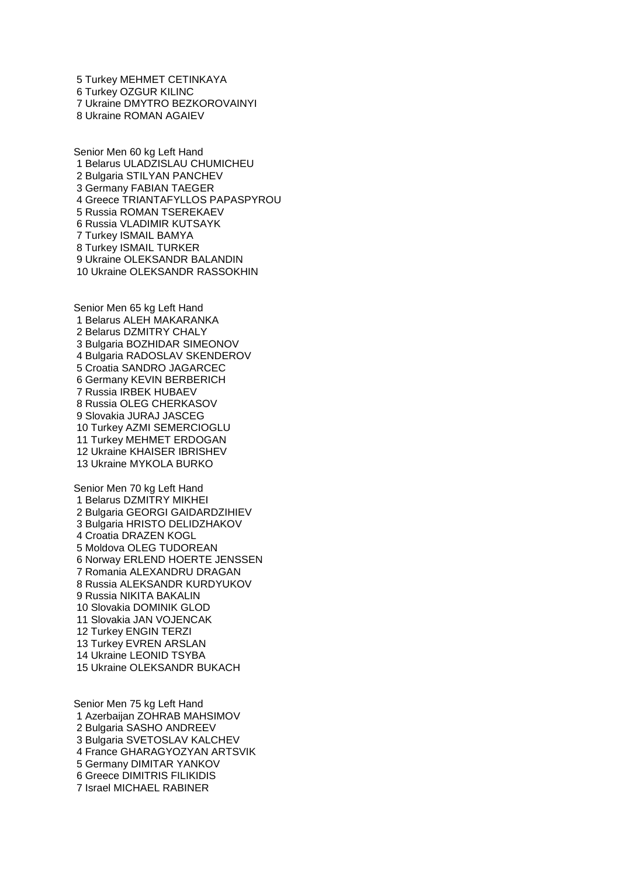Turkey MEHMET CETINKAYA Turkey OZGUR KILINC Ukraine DMYTRO BEZKOROVAINYI Ukraine ROMAN AGAIEV

Senior Men 60 kg Left Hand Belarus ULADZISLAU CHUMICHEU Bulgaria STILYAN PANCHEV Germany FABIAN TAEGER Greece TRIANTAFYLLOS PAPASPYROU Russia ROMAN TSEREKAEV Russia VLADIMIR KUTSAYK Turkey ISMAIL BAMYA Turkey ISMAIL TURKER Ukraine OLEKSANDR BALANDIN Ukraine OLEKSANDR RASSOKHIN

Senior Men 65 kg Left Hand Belarus ALEH MAKARANKA Belarus DZMITRY CHALY Bulgaria BOZHIDAR SIMEONOV Bulgaria RADOSLAV SKENDEROV Croatia SANDRO JAGARCEC Germany KEVIN BERBERICH Russia IRBEK HUBAEV Russia OLEG CHERKASOV Slovakia JURAJ JASCEG Turkey AZMI SEMERCIOGLU Turkey MEHMET ERDOGAN Ukraine KHAISER IBRISHEV Ukraine MYKOLA BURKO

Senior Men 70 kg Left Hand Belarus DZMITRY MIKHEI Bulgaria GEORGI GAIDARDZIHIEV Bulgaria HRISTO DELIDZHAKOV Croatia DRAZEN KOGL Moldova OLEG TUDOREAN Norway ERLEND HOERTE JENSSEN Romania ALEXANDRU DRAGAN Russia ALEKSANDR KURDYUKOV Russia NIKITA BAKALIN Slovakia DOMINIK GLOD Slovakia JAN VOJENCAK Turkey ENGIN TERZI Turkey EVREN ARSLAN Ukraine LEONID TSYBA Ukraine OLEKSANDR BUKACH

Senior Men 75 kg Left Hand Azerbaijan ZOHRAB MAHSIMOV Bulgaria SASHO ANDREEV Bulgaria SVETOSLAV KALCHEV France GHARAGYOZYAN ARTSVIK Germany DIMITAR YANKOV Greece DIMITRIS FILIKIDIS Israel MICHAEL RABINER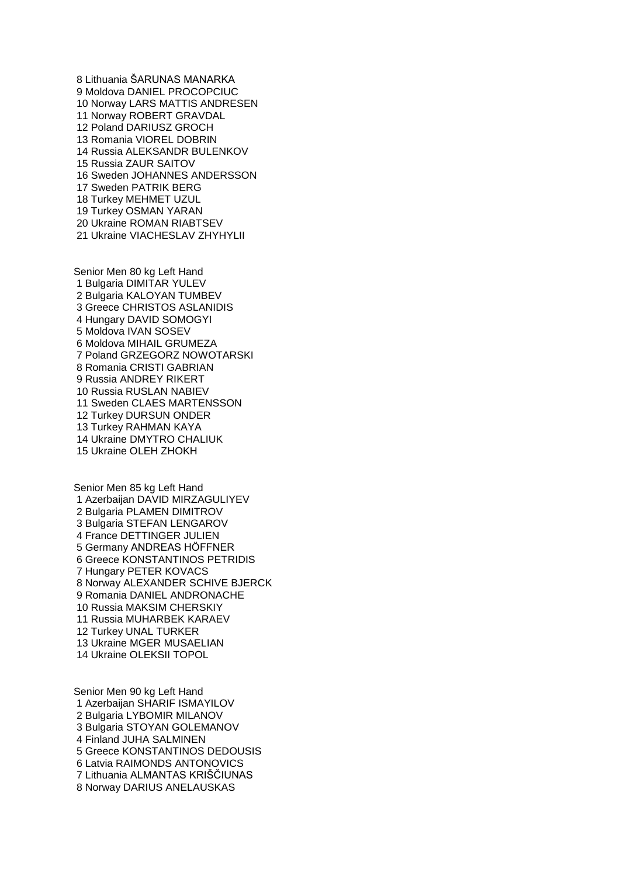Lithuania ŠARUNAS MANARKA Moldova DANIEL PROCOPCIUC Norway LARS MATTIS ANDRESEN Norway ROBERT GRAVDAL Poland DARIUSZ GROCH Romania VIOREL DOBRIN Russia ALEKSANDR BULENKOV Russia ZAUR SAITOV Sweden JOHANNES ANDERSSON Sweden PATRIK BERG Turkey MEHMET UZUL Turkey OSMAN YARAN Ukraine ROMAN RIABTSEV Ukraine VIACHESLAV ZHYHYLII

Senior Men 80 kg Left Hand Bulgaria DIMITAR YULEV Bulgaria KALOYAN TUMBEV Greece CHRISTOS ASLANIDIS Hungary DAVID SOMOGYI Moldova IVAN SOSEV Moldova MIHAIL GRUMEZA Poland GRZEGORZ NOWOTARSKI Romania CRISTI GABRIAN Russia ANDREY RIKERT Russia RUSLAN NABIEV Sweden CLAES MARTENSSON Turkey DURSUN ONDER Turkey RAHMAN KAYA Ukraine DMYTRO CHALIUK Ukraine OLEH ZHOKH

Senior Men 85 kg Left Hand Azerbaijan DAVID MIRZAGULIYEV Bulgaria PLAMEN DIMITROV Bulgaria STEFAN LENGAROV France DETTINGER JULIEN Germany ANDREAS HÖFFNER Greece KONSTANTINOS PETRIDIS Hungary PETER KOVACS Norway ALEXANDER SCHIVE BJERCK Romania DANIEL ANDRONACHE Russia MAKSIM CHERSKIY Russia MUHARBEK KARAEV Turkey UNAL TURKER Ukraine MGER MUSAELIAN Ukraine OLEKSII TOPOL

Senior Men 90 kg Left Hand Azerbaijan SHARIF ISMAYILOV Bulgaria LYBOMIR MILANOV Bulgaria STOYAN GOLEMANOV Finland JUHA SALMINEN Greece KONSTANTINOS DEDOUSIS Latvia RAIMONDS ANTONOVICS Lithuania ALMANTAS KRIŠČIUNAS Norway DARIUS ANELAUSKAS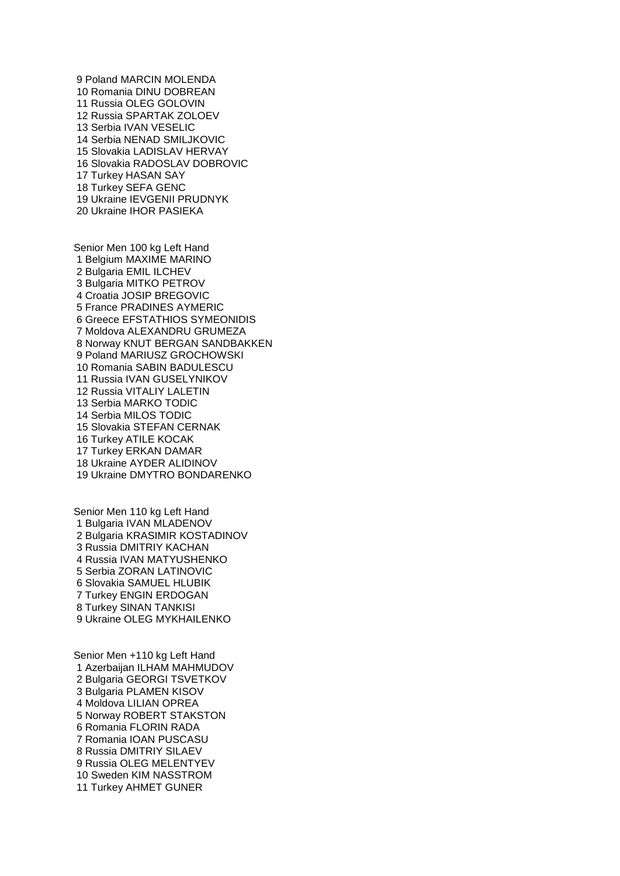Poland MARCIN MOLENDA Romania DINU DOBREAN Russia OLEG GOLOVIN Russia SPARTAK ZOLOEV Serbia IVAN VESELIC Serbia NENAD SMILJKOVIC Slovakia LADISLAV HERVAY Slovakia RADOSLAV DOBROVIC Turkey HASAN SAY Turkey SEFA GENC Ukraine IEVGENII PRUDNYK Ukraine IHOR PASIEKA

Senior Men 100 kg Left Hand Belgium MAXIME MARINO Bulgaria EMIL ILCHEV Bulgaria MITKO PETROV Croatia JOSIP BREGOVIC France PRADINES AYMERIC Greece EFSTATHIOS SYMEONIDIS Moldova ALEXANDRU GRUMEZA Norway KNUT BERGAN SANDBAKKEN Poland MARIUSZ GROCHOWSKI Romania SABIN BADULESCU Russia IVAN GUSELYNIKOV Russia VITALIY LALETIN Serbia MARKO TODIC Serbia MILOS TODIC Slovakia STEFAN CERNAK Turkey ATILE KOCAK Turkey ERKAN DAMAR Ukraine AYDER ALIDINOV Ukraine DMYTRO BONDARENKO

Senior Men 110 kg Left Hand Bulgaria IVAN MLADENOV Bulgaria KRASIMIR KOSTADINOV Russia DMITRIY KACHAN Russia IVAN MATYUSHENKO Serbia ZORAN LATINOVIC Slovakia SAMUEL HLUBIK Turkey ENGIN ERDOGAN Turkey SINAN TANKISI Ukraine OLEG MYKHAILENKO

Senior Men +110 kg Left Hand Azerbaijan ILHAM MAHMUDOV Bulgaria GEORGI TSVETKOV Bulgaria PLAMEN KISOV Moldova LILIAN OPREA Norway ROBERT STAKSTON Romania FLORIN RADA Romania IOAN PUSCASU Russia DMITRIY SILAEV Russia OLEG MELENTYEV Sweden KIM NASSTROM Turkey AHMET GUNER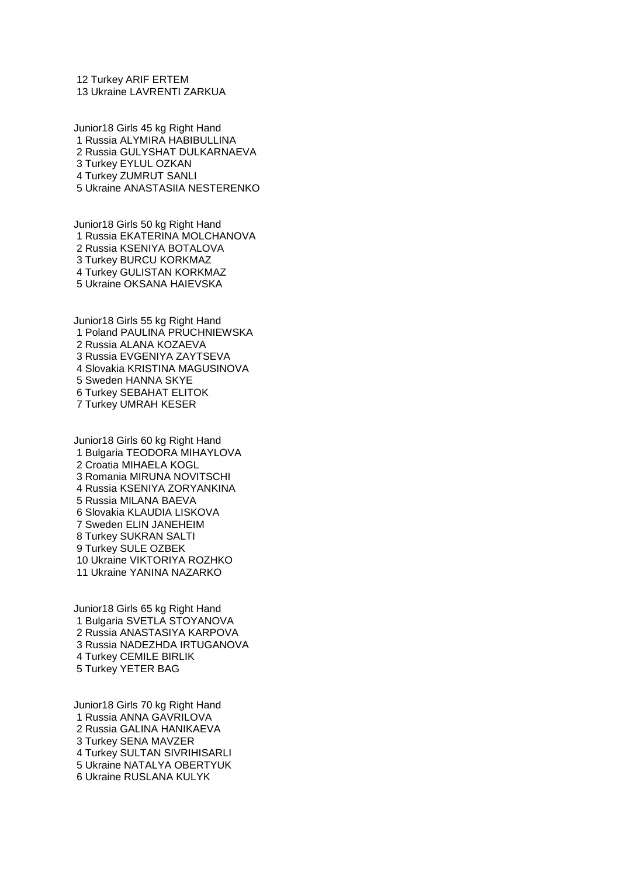Turkey ARIF ERTEM Ukraine LAVRENTI ZARKUA

Junior18 Girls 45 kg Right Hand Russia ALYMIRA HABIBULLINA Russia GULYSHAT DULKARNAEVA Turkey EYLUL OZKAN Turkey ZUMRUT SANLI Ukraine ANASTASIIA NESTERENKO

Junior18 Girls 50 kg Right Hand Russia EKATERINA MOLCHANOVA Russia KSENIYA BOTALOVA Turkey BURCU KORKMAZ Turkey GULISTAN KORKMAZ Ukraine OKSANA HAIEVSKA

Junior18 Girls 55 kg Right Hand Poland PAULINA PRUCHNIEWSKA Russia ALANA KOZAEVA Russia EVGENIYA ZAYTSEVA Slovakia KRISTINA MAGUSINOVA Sweden HANNA SKYE Turkey SEBAHAT ELITOK Turkey UMRAH KESER

Junior18 Girls 60 kg Right Hand Bulgaria TEODORA MIHAYLOVA Croatia MIHAELA KOGL Romania MIRUNA NOVITSCHI Russia KSENIYA ZORYANKINA Russia MILANA BAEVA Slovakia KLAUDIA LISKOVA Sweden ELIN JANEHEIM Turkey SUKRAN SALTI Turkey SULE OZBEK Ukraine VIKTORIYA ROZHKO Ukraine YANINA NAZARKO

Junior18 Girls 65 kg Right Hand Bulgaria SVETLA STOYANOVA Russia ANASTASIYA KARPOVA Russia NADEZHDA IRTUGANOVA Turkey CEMILE BIRLIK Turkey YETER BAG

Junior18 Girls 70 kg Right Hand Russia ANNA GAVRILOVA Russia GALINA HANIKAEVA Turkey SENA MAVZER Turkey SULTAN SIVRIHISARLI Ukraine NATALYA OBERTYUK Ukraine RUSLANA KULYK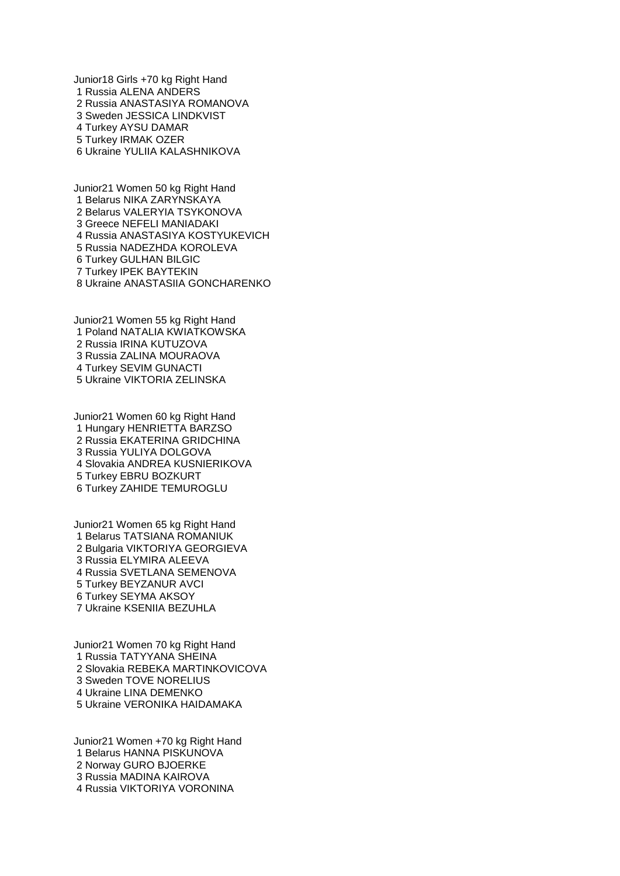Junior18 Girls +70 kg Right Hand Russia ALENA ANDERS Russia ANASTASIYA ROMANOVA Sweden JESSICA LINDKVIST Turkey AYSU DAMAR Turkey IRMAK OZER Ukraine YULIIA KALASHNIKOVA

Junior21 Women 50 kg Right Hand Belarus NIKA ZARYNSKAYA Belarus VALERYIA TSYKONOVA Greece NEFELI MANIADAKI Russia ANASTASIYA KOSTYUKEVICH Russia NADEZHDA KOROLEVA Turkey GULHAN BILGIC Turkey IPEK BAYTEKIN Ukraine ANASTASIIA GONCHARENKO

Junior21 Women 55 kg Right Hand Poland NATALIA KWIATKOWSKA Russia IRINA KUTUZOVA Russia ZALINA MOURAOVA Turkey SEVIM GUNACTI Ukraine VIKTORIA ZELINSKA

Junior21 Women 60 kg Right Hand Hungary HENRIETTA BARZSO Russia EKATERINA GRIDCHINA Russia YULIYA DOLGOVA Slovakia ANDREA KUSNIERIKOVA Turkey EBRU BOZKURT Turkey ZAHIDE TEMUROGLU

Junior21 Women 65 kg Right Hand Belarus TATSIANA ROMANIUK Bulgaria VIKTORIYA GEORGIEVA Russia ELYMIRA ALEEVA Russia SVETLANA SEMENOVA Turkey BEYZANUR AVCI Turkey SEYMA AKSOY Ukraine KSENIIA BEZUHLA

Junior21 Women 70 kg Right Hand Russia TATYYANA SHEINA Slovakia REBEKA MARTINKOVICOVA Sweden TOVE NORELIUS Ukraine LINA DEMENKO Ukraine VERONIKA HAIDAMAKA

Junior21 Women +70 kg Right Hand Belarus HANNA PISKUNOVA Norway GURO BJOERKE Russia MADINA KAIROVA Russia VIKTORIYA VORONINA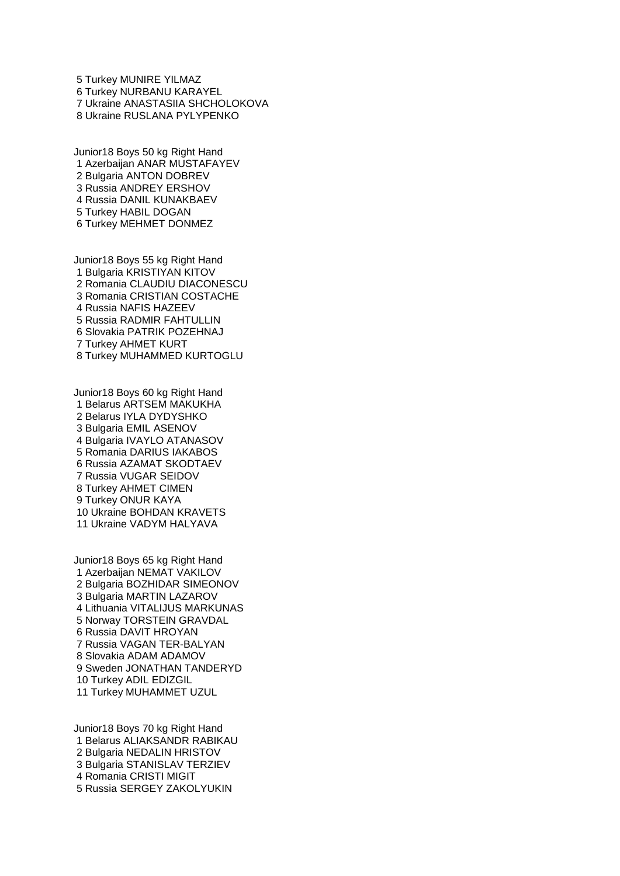Turkey MUNIRE YILMAZ Turkey NURBANU KARAYEL Ukraine ANASTASIIA SHCHOLOKOVA Ukraine RUSLANA PYLYPENKO

Junior18 Boys 50 kg Right Hand Azerbaijan ANAR MUSTAFAYEV Bulgaria ANTON DOBREV Russia ANDREY ERSHOV Russia DANIL KUNAKBAEV Turkey HABIL DOGAN Turkey MEHMET DONMEZ

Junior18 Boys 55 kg Right Hand Bulgaria KRISTIYAN KITOV Romania CLAUDIU DIACONESCU Romania CRISTIAN COSTACHE Russia NAFIS HAZEEV Russia RADMIR FAHTULLIN Slovakia PATRIK POZEHNAJ Turkey AHMET KURT Turkey MUHAMMED KURTOGLU

Junior18 Boys 60 kg Right Hand Belarus ARTSEM MAKUKHA Belarus IYLA DYDYSHKO Bulgaria EMIL ASENOV Bulgaria IVAYLO ATANASOV Romania DARIUS IAKABOS Russia AZAMAT SKODTAEV Russia VUGAR SEIDOV Turkey AHMET CIMEN Turkey ONUR KAYA Ukraine BOHDAN KRAVETS Ukraine VADYM HALYAVA

Junior18 Boys 65 kg Right Hand Azerbaijan NEMAT VAKILOV Bulgaria BOZHIDAR SIMEONOV Bulgaria MARTIN LAZAROV Lithuania VITALIJUS MARKUNAS Norway TORSTEIN GRAVDAL Russia DAVIT HROYAN Russia VAGAN TER-BALYAN Slovakia ADAM ADAMOV Sweden JONATHAN TANDERYD Turkey ADIL EDIZGIL Turkey MUHAMMET UZUL

Junior18 Boys 70 kg Right Hand Belarus ALIAKSANDR RABIKAU Bulgaria NEDALIN HRISTOV Bulgaria STANISLAV TERZIEV Romania CRISTI MIGIT Russia SERGEY ZAKOLYUKIN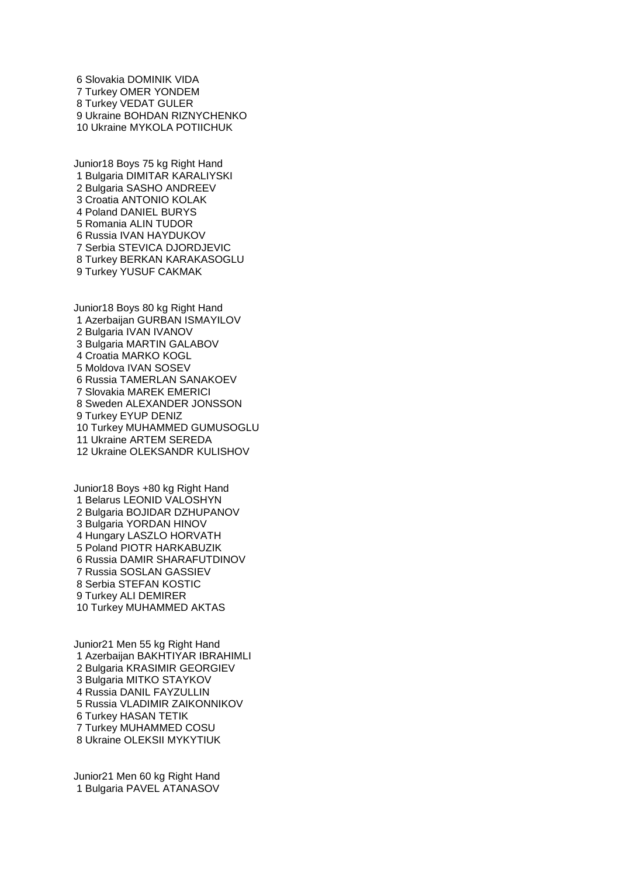Slovakia DOMINIK VIDA Turkey OMER YONDEM Turkey VEDAT GULER Ukraine BOHDAN RIZNYCHENKO Ukraine MYKOLA POTIICHUK

Junior18 Boys 75 kg Right Hand Bulgaria DIMITAR KARALIYSKI Bulgaria SASHO ANDREEV Croatia ANTONIO KOLAK Poland DANIEL BURYS Romania ALIN TUDOR Russia IVAN HAYDUKOV Serbia STEVICA DJORDJEVIC Turkey BERKAN KARAKASOGLU Turkey YUSUF CAKMAK

Junior18 Boys 80 kg Right Hand Azerbaijan GURBAN ISMAYILOV Bulgaria IVAN IVANOV Bulgaria MARTIN GALABOV Croatia MARKO KOGL Moldova IVAN SOSEV Russia TAMERLAN SANAKOEV Slovakia MAREK EMERICI Sweden ALEXANDER JONSSON Turkey EYUP DENIZ Turkey MUHAMMED GUMUSOGLU Ukraine ARTEM SEREDA Ukraine OLEKSANDR KULISHOV

Junior18 Boys +80 kg Right Hand Belarus LEONID VALOSHYN Bulgaria BOJIDAR DZHUPANOV Bulgaria YORDAN HINOV Hungary LASZLO HORVATH Poland PIOTR HARKABUZIK Russia DAMIR SHARAFUTDINOV Russia SOSLAN GASSIEV Serbia STEFAN KOSTIC Turkey ALI DEMIRER Turkey MUHAMMED AKTAS

Junior21 Men 55 kg Right Hand Azerbaijan BAKHTIYAR IBRAHIMLI Bulgaria KRASIMIR GEORGIEV Bulgaria MITKO STAYKOV Russia DANIL FAYZULLIN Russia VLADIMIR ZAIKONNIKOV Turkey HASAN TETIK Turkey MUHAMMED COSU Ukraine OLEKSII MYKYTIUK

Junior21 Men 60 kg Right Hand Bulgaria PAVEL ATANASOV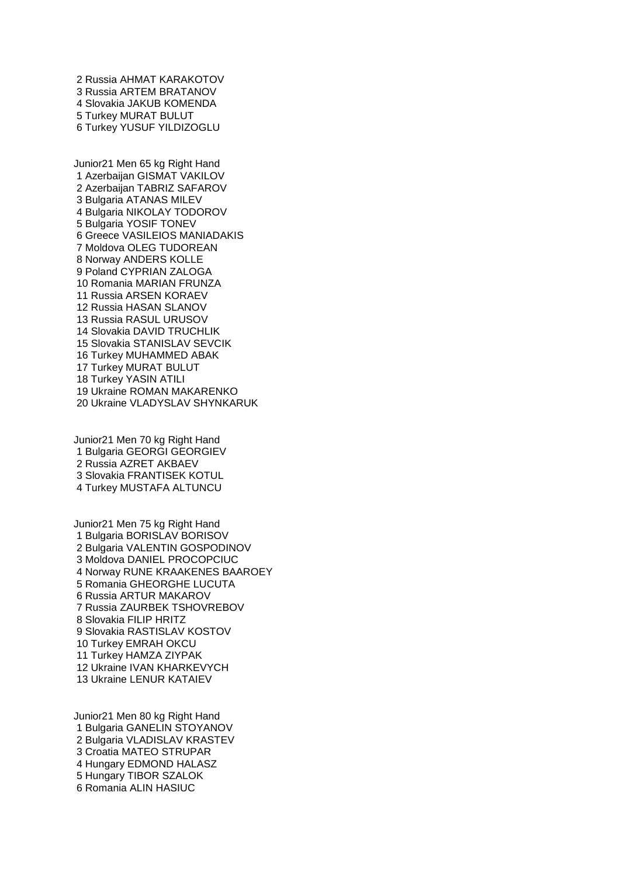Russia AHMAT KARAKOTOV Russia ARTEM BRATANOV Slovakia JAKUB KOMENDA Turkey MURAT BULUT Turkey YUSUF YILDIZOGLU

Junior21 Men 65 kg Right Hand Azerbaijan GISMAT VAKILOV Azerbaijan TABRIZ SAFAROV Bulgaria ATANAS MILEV Bulgaria NIKOLAY TODOROV Bulgaria YOSIF TONEV Greece VASILEIOS MANIADAKIS Moldova OLEG TUDOREAN Norway ANDERS KOLLE Poland CYPRIAN ZALOGA Romania MARIAN FRUNZA Russia ARSEN KORAEV Russia HASAN SLANOV Russia RASUL URUSOV Slovakia DAVID TRUCHLIK Slovakia STANISLAV SEVCIK Turkey MUHAMMED ABAK Turkey MURAT BULUT Turkey YASIN ATILI Ukraine ROMAN MAKARENKO Ukraine VLADYSLAV SHYNKARUK

Junior21 Men 70 kg Right Hand Bulgaria GEORGI GEORGIEV Russia AZRET AKBAEV Slovakia FRANTISEK KOTUL Turkey MUSTAFA ALTUNCU

Junior21 Men 75 kg Right Hand Bulgaria BORISLAV BORISOV Bulgaria VALENTIN GOSPODINOV Moldova DANIEL PROCOPCIUC Norway RUNE KRAAKENES BAAROEY Romania GHEORGHE LUCUTA Russia ARTUR MAKAROV Russia ZAURBEK TSHOVREBOV Slovakia FILIP HRITZ Slovakia RASTISLAV KOSTOV Turkey EMRAH OKCU Turkey HAMZA ZIYPAK Ukraine IVAN KHARKEVYCH Ukraine LENUR KATAIEV

Junior21 Men 80 kg Right Hand Bulgaria GANELIN STOYANOV Bulgaria VLADISLAV KRASTEV Croatia MATEO STRUPAR Hungary EDMOND HALASZ Hungary TIBOR SZALOK Romania ALIN HASIUC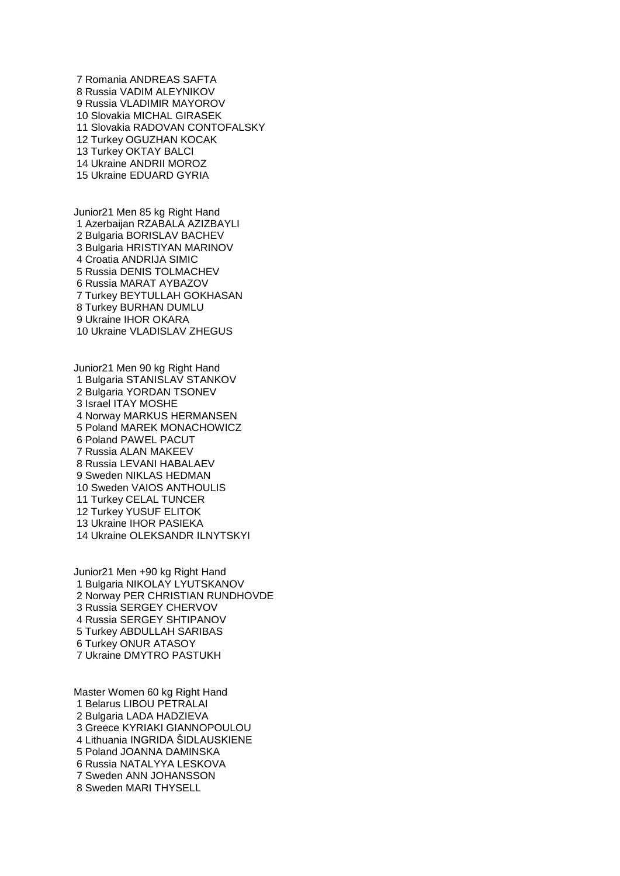Romania ANDREAS SAFTA Russia VADIM ALEYNIKOV Russia VLADIMIR MAYOROV Slovakia MICHAL GIRASEK Slovakia RADOVAN CONTOFALSKY Turkey OGUZHAN KOCAK Turkey OKTAY BALCI Ukraine ANDRII MOROZ Ukraine EDUARD GYRIA

Junior21 Men 85 kg Right Hand Azerbaijan RZABALA AZIZBAYLI Bulgaria BORISLAV BACHEV Bulgaria HRISTIYAN MARINOV Croatia ANDRIJA SIMIC Russia DENIS TOLMACHEV Russia MARAT AYBAZOV Turkey BEYTULLAH GOKHASAN Turkey BURHAN DUMLU Ukraine IHOR OKARA Ukraine VLADISLAV ZHEGUS

Junior21 Men 90 kg Right Hand Bulgaria STANISLAV STANKOV Bulgaria YORDAN TSONEV Israel ITAY MOSHE Norway MARKUS HERMANSEN Poland MAREK MONACHOWICZ Poland PAWEL PACUT Russia ALAN MAKEEV Russia LEVANI HABALAEV Sweden NIKLAS HEDMAN Sweden VAIOS ANTHOULIS Turkey CELAL TUNCER Turkey YUSUF ELITOK Ukraine IHOR PASIEKA Ukraine OLEKSANDR ILNYTSKYI

Junior21 Men +90 kg Right Hand Bulgaria NIKOLAY LYUTSKANOV Norway PER CHRISTIAN RUNDHOVDE Russia SERGEY CHERVOV Russia SERGEY SHTIPANOV Turkey ABDULLAH SARIBAS Turkey ONUR ATASOY Ukraine DMYTRO PASTUKH

Master Women 60 kg Right Hand Belarus LIBOU PETRALAI Bulgaria LADA HADZIEVA Greece KYRIAKI GIANNOPOULOU Lithuania INGRIDA ŠIDLAUSKIENE Poland JOANNA DAMINSKA Russia NATALYYA LESKOVA Sweden ANN JOHANSSON Sweden MARI THYSELL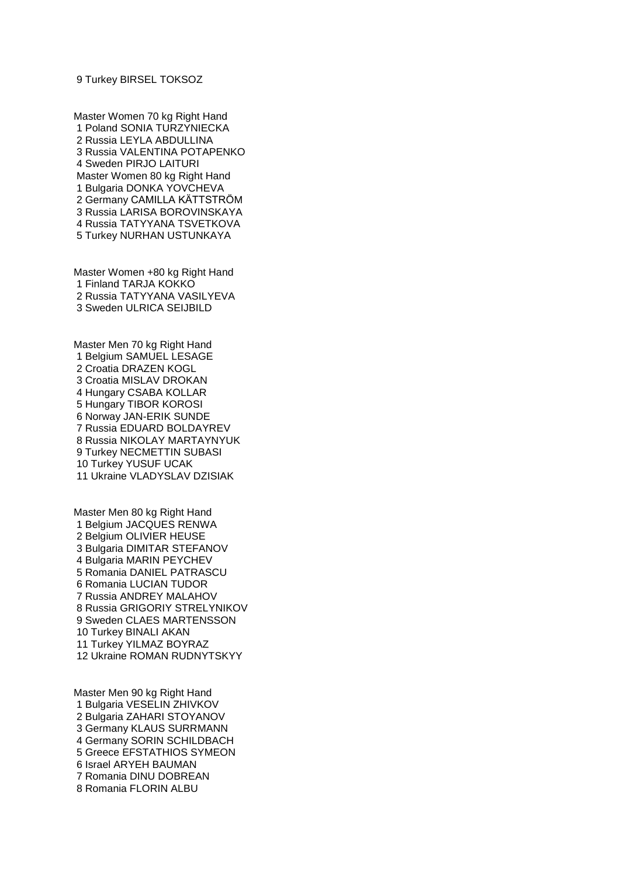Turkey BIRSEL TOKSOZ

Master Women 70 kg Right Hand Poland SONIA TURZYNIECKA Russia LEYLA ABDULLINA Russia VALENTINA POTAPENKO Sweden PIRJO LAITURI Master Women 80 kg Right Hand Bulgaria DONKA YOVCHEVA Germany CAMILLA KÄTTSTRÖM Russia LARISA BOROVINSKAYA Russia TATYYANA TSVETKOVA Turkey NURHAN USTUNKAYA

Master Women +80 kg Right Hand Finland TARJA KOKKO Russia TATYYANA VASILYEVA Sweden ULRICA SEIJBILD

Master Men 70 kg Right Hand Belgium SAMUEL LESAGE Croatia DRAZEN KOGL Croatia MISLAV DROKAN Hungary CSABA KOLLAR Hungary TIBOR KOROSI Norway JAN-ERIK SUNDE Russia EDUARD BOLDAYREV Russia NIKOLAY MARTAYNYUK Turkey NECMETTIN SUBASI Turkey YUSUF UCAK Ukraine VLADYSLAV DZISIAK

Master Men 80 kg Right Hand Belgium JACQUES RENWA Belgium OLIVIER HEUSE Bulgaria DIMITAR STEFANOV Bulgaria MARIN PEYCHEV Romania DANIEL PATRASCU Romania LUCIAN TUDOR Russia ANDREY MALAHOV Russia GRIGORIY STRELYNIKOV Sweden CLAES MARTENSSON Turkey BINALI AKAN Turkey YILMAZ BOYRAZ Ukraine ROMAN RUDNYTSKYY

Master Men 90 kg Right Hand Bulgaria VESELIN ZHIVKOV Bulgaria ZAHARI STOYANOV Germany KLAUS SURRMANN Germany SORIN SCHILDBACH Greece EFSTATHIOS SYMEON Israel ARYEH BAUMAN Romania DINU DOBREAN Romania FLORIN ALBU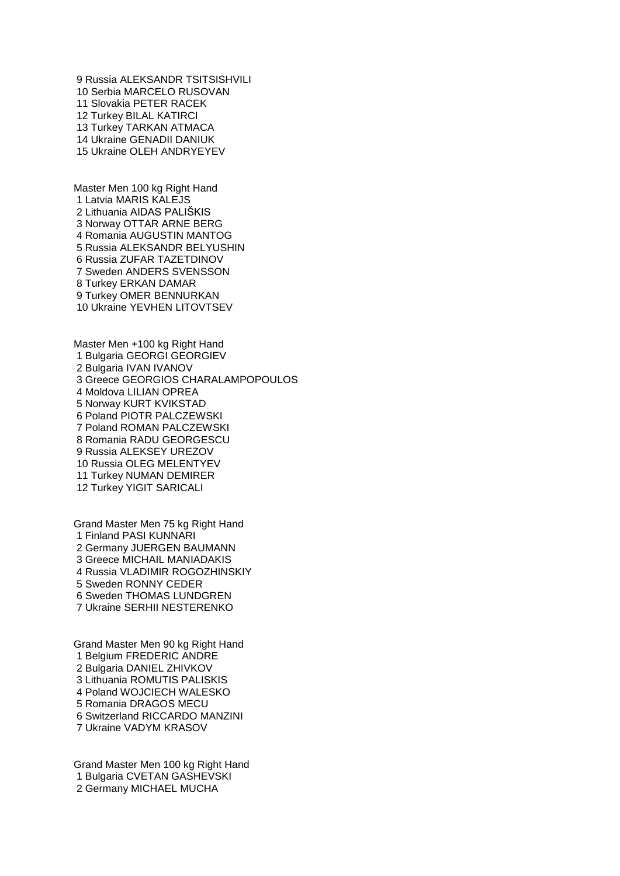Russia ALEKSANDR TSITSISHVILI Serbia MARCELO RUSOVAN Slovakia PETER RACEK Turkey BILAL KATIRCI Turkey TARKAN ATMACA Ukraine GENADII DANIUK Ukraine OLEH ANDRYEYEV

Master Men 100 kg Right Hand Latvia MARIS KALEJS Lithuania AIDAS PALIŠKIS Norway OTTAR ARNE BERG Romania AUGUSTIN MANTOG Russia ALEKSANDR BELYUSHIN Russia ZUFAR TAZETDINOV Sweden ANDERS SVENSSON Turkey ERKAN DAMAR Turkey OMER BENNURKAN Ukraine YEVHEN LITOVTSEV

Master Men +100 kg Right Hand Bulgaria GEORGI GEORGIEV Bulgaria IVAN IVANOV Greece GEORGIOS CHARALAMPOPOULOS Moldova LILIAN OPREA Norway KURT KVIKSTAD Poland PIOTR PALCZEWSKI Poland ROMAN PALCZEWSKI Romania RADU GEORGESCU Russia ALEKSEY UREZOV Russia OLEG MELENTYEV Turkey NUMAN DEMIRER Turkey YIGIT SARICALI

Grand Master Men 75 kg Right Hand Finland PASI KUNNARI Germany JUERGEN BAUMANN Greece MICHAIL MANIADAKIS Russia VLADIMIR ROGOZHINSKIY Sweden RONNY CEDER Sweden THOMAS LUNDGREN Ukraine SERHII NESTERENKO

Grand Master Men 90 kg Right Hand Belgium FREDERIC ANDRE Bulgaria DANIEL ZHIVKOV Lithuania ROMUTIS PALISKIS Poland WOJCIECH WALESKO Romania DRAGOS MECU Switzerland RICCARDO MANZINI Ukraine VADYM KRASOV

Grand Master Men 100 kg Right Hand Bulgaria CVETAN GASHEVSKI Germany MICHAEL MUCHA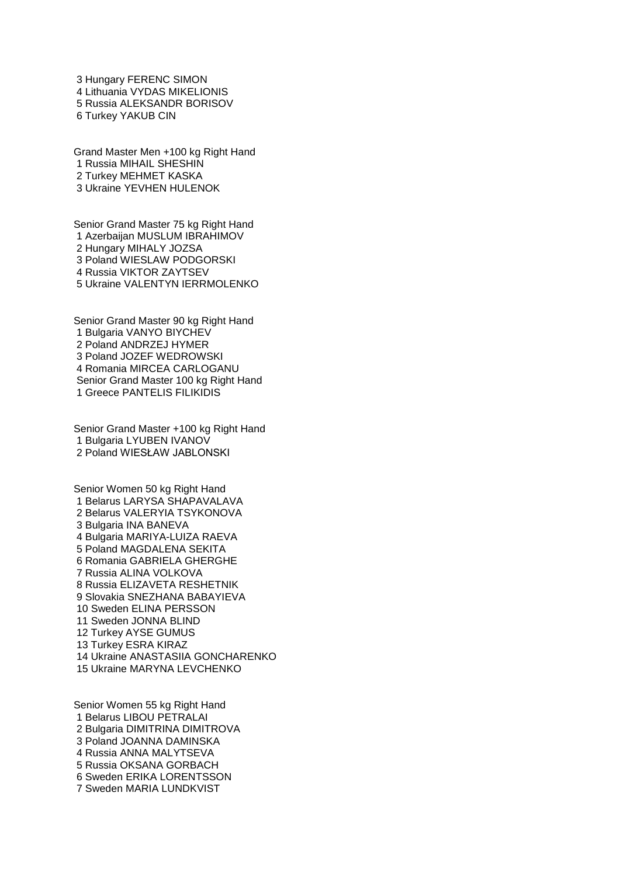Hungary FERENC SIMON Lithuania VYDAS MIKELIONIS Russia ALEKSANDR BORISOV Turkey YAKUB CIN

Grand Master Men +100 kg Right Hand Russia MIHAIL SHESHIN Turkey MEHMET KASKA Ukraine YEVHEN HULENOK

Senior Grand Master 75 kg Right Hand Azerbaijan MUSLUM IBRAHIMOV Hungary MIHALY JOZSA Poland WIESLAW PODGORSKI Russia VIKTOR ZAYTSEV Ukraine VALENTYN IERRMOLENKO

Senior Grand Master 90 kg Right Hand Bulgaria VANYO BIYCHEV Poland ANDRZEJ HYMER Poland JOZEF WEDROWSKI Romania MIRCEA CARLOGANU Senior Grand Master 100 kg Right Hand Greece PANTELIS FILIKIDIS

Senior Grand Master +100 kg Right Hand Bulgaria LYUBEN IVANOV Poland WIESŁAW JABLONSKI

Senior Women 50 kg Right Hand Belarus LARYSA SHAPAVALAVA Belarus VALERYIA TSYKONOVA Bulgaria INA BANEVA Bulgaria MARIYA-LUIZA RAEVA Poland MAGDALENA SEKITA Romania GABRIELA GHERGHE Russia ALINA VOLKOVA Russia ELIZAVETA RESHETNIK Slovakia SNEZHANA BABAYIEVA Sweden ELINA PERSSON Sweden JONNA BLIND Turkey AYSE GUMUS Turkey ESRA KIRAZ Ukraine ANASTASIIA GONCHARENKO Ukraine MARYNA LEVCHENKO

Senior Women 55 kg Right Hand Belarus LIBOU PETRALAI Bulgaria DIMITRINA DIMITROVA Poland JOANNA DAMINSKA Russia ANNA MALYTSEVA Russia OKSANA GORBACH Sweden ERIKA LORENTSSON Sweden MARIA LUNDKVIST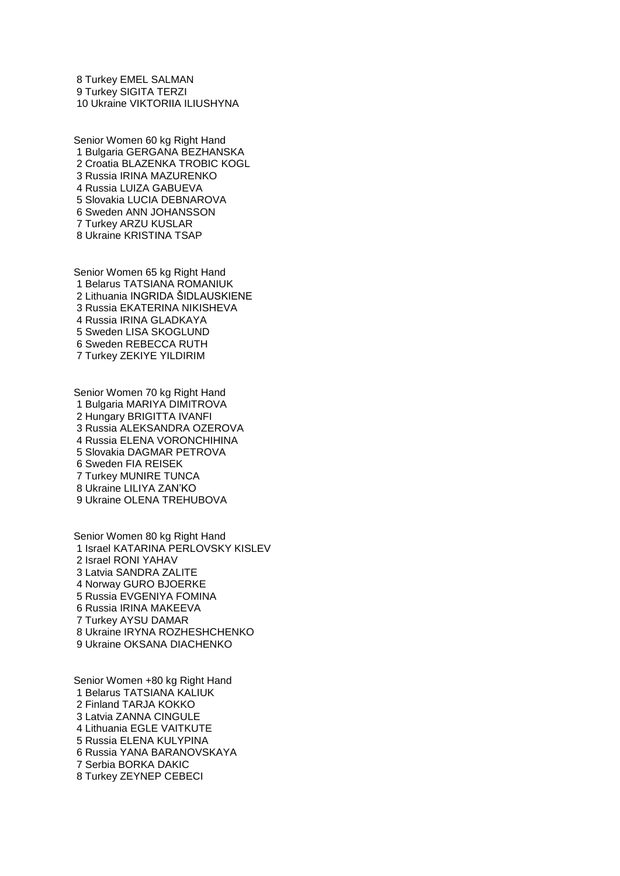Turkey EMEL SALMAN Turkey SIGITA TERZI Ukraine VIKTORIIA ILIUSHYNA

Senior Women 60 kg Right Hand Bulgaria GERGANA BEZHANSKA Croatia BLAZENKA TROBIC KOGL Russia IRINA MAZURENKO Russia LUIZA GABUEVA Slovakia LUCIA DEBNAROVA Sweden ANN JOHANSSON Turkey ARZU KUSLAR Ukraine KRISTINA TSAP

Senior Women 65 kg Right Hand Belarus TATSIANA ROMANIUK Lithuania INGRIDA ŠIDLAUSKIENE Russia EKATERINA NIKISHEVA Russia IRINA GLADKAYA Sweden LISA SKOGLUND Sweden REBECCA RUTH Turkey ZEKIYE YILDIRIM

Senior Women 70 kg Right Hand Bulgaria MARIYA DIMITROVA Hungary BRIGITTA IVANFI Russia ALEKSANDRA OZEROVA Russia ELENA VORONCHIHINA Slovakia DAGMAR PETROVA Sweden FIA REISEK Turkey MUNIRE TUNCA Ukraine LILIYA ZAN'KO Ukraine OLENA TREHUBOVA

Senior Women 80 kg Right Hand Israel KATARINA PERLOVSKY KISLEV Israel RONI YAHAV Latvia SANDRA ZALITE Norway GURO BJOERKE Russia EVGENIYA FOMINA Russia IRINA MAKEEVA Turkey AYSU DAMAR Ukraine IRYNA ROZHESHCHENKO Ukraine OKSANA DIACHENKO

Senior Women +80 kg Right Hand Belarus TATSIANA KALIUK Finland TARJA KOKKO Latvia ZANNA CINGULE Lithuania EGLE VAITKUTE Russia ELENA KULYPINA Russia YANA BARANOVSKAYA Serbia BORKA DAKIC Turkey ZEYNEP CEBECI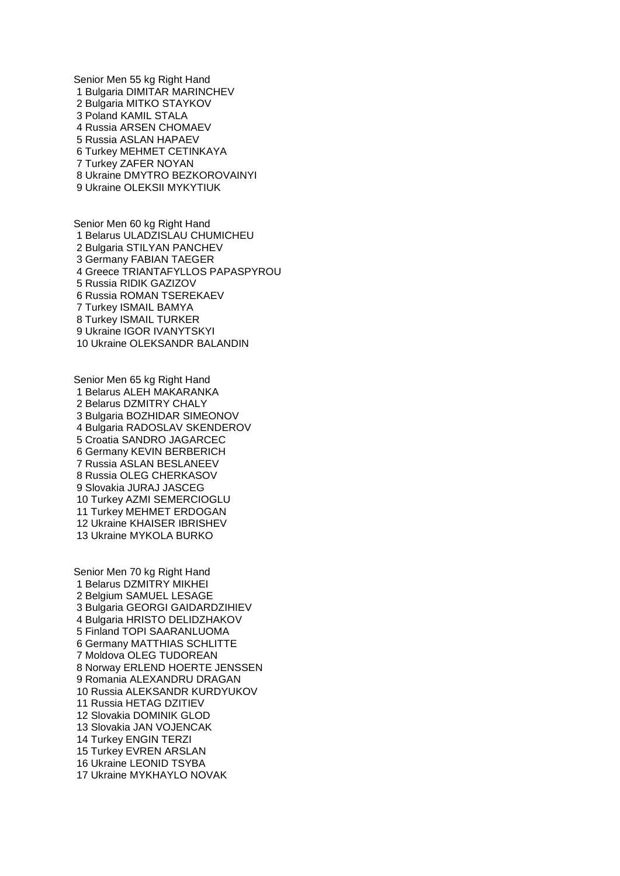Senior Men 55 kg Right Hand Bulgaria DIMITAR MARINCHEV Bulgaria MITKO STAYKOV Poland KAMIL STALA Russia ARSEN CHOMAEV Russia ASLAN HAPAEV Turkey MEHMET CETINKAYA Turkey ZAFER NOYAN Ukraine DMYTRO BEZKOROVAINYI Ukraine OLEKSII MYKYTIUK

Senior Men 60 kg Right Hand Belarus ULADZISLAU CHUMICHEU Bulgaria STILYAN PANCHEV Germany FABIAN TAEGER Greece TRIANTAFYLLOS PAPASPYROU Russia RIDIK GAZIZOV Russia ROMAN TSEREKAEV Turkey ISMAIL BAMYA Turkey ISMAIL TURKER Ukraine IGOR IVANYTSKYI Ukraine OLEKSANDR BALANDIN

Senior Men 65 kg Right Hand Belarus ALEH MAKARANKA Belarus DZMITRY CHALY Bulgaria BOZHIDAR SIMEONOV Bulgaria RADOSLAV SKENDEROV Croatia SANDRO JAGARCEC Germany KEVIN BERBERICH Russia ASLAN BESLANEEV Russia OLEG CHERKASOV Slovakia JURAJ JASCEG Turkey AZMI SEMERCIOGLU Turkey MEHMET ERDOGAN Ukraine KHAISER IBRISHEV Ukraine MYKOLA BURKO

Senior Men 70 kg Right Hand Belarus DZMITRY MIKHEI Belgium SAMUEL LESAGE Bulgaria GEORGI GAIDARDZIHIEV Bulgaria HRISTO DELIDZHAKOV Finland TOPI SAARANLUOMA Germany MATTHIAS SCHLITTE Moldova OLEG TUDOREAN Norway ERLEND HOERTE JENSSEN Romania ALEXANDRU DRAGAN Russia ALEKSANDR KURDYUKOV Russia HETAG DZITIEV Slovakia DOMINIK GLOD Slovakia JAN VOJENCAK Turkey ENGIN TERZI Turkey EVREN ARSLAN Ukraine LEONID TSYBA Ukraine MYKHAYLO NOVAK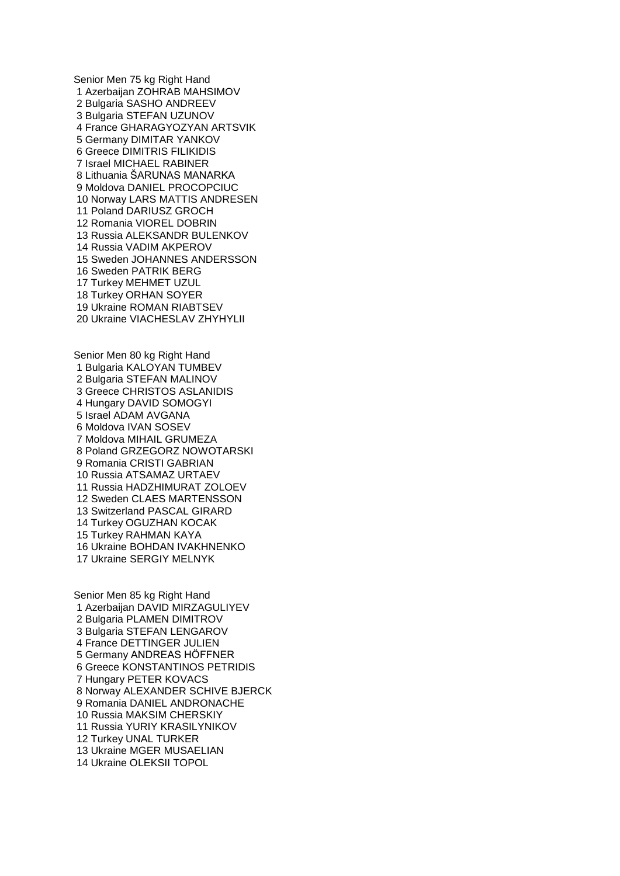Senior Men 75 kg Right Hand Azerbaijan ZOHRAB MAHSIMOV Bulgaria SASHO ANDREEV Bulgaria STEFAN UZUNOV France GHARAGYOZYAN ARTSVIK Germany DIMITAR YANKOV Greece DIMITRIS FILIKIDIS Israel MICHAEL RABINER Lithuania ŠARUNAS MANARKA Moldova DANIEL PROCOPCIUC Norway LARS MATTIS ANDRESEN Poland DARIUSZ GROCH Romania VIOREL DOBRIN Russia ALEKSANDR BULENKOV Russia VADIM AKPEROV Sweden JOHANNES ANDERSSON Sweden PATRIK BERG Turkey MEHMET UZUL Turkey ORHAN SOYER Ukraine ROMAN RIABTSEV Ukraine VIACHESLAV ZHYHYLII

Senior Men 80 kg Right Hand Bulgaria KALOYAN TUMBEV Bulgaria STEFAN MALINOV Greece CHRISTOS ASLANIDIS Hungary DAVID SOMOGYI Israel ADAM AVGANA Moldova IVAN SOSEV Moldova MIHAIL GRUMEZA Poland GRZEGORZ NOWOTARSKI Romania CRISTI GABRIAN Russia ATSAMAZ URTAEV Russia HADZHIMURAT ZOLOEV Sweden CLAES MARTENSSON Switzerland PASCAL GIRARD Turkey OGUZHAN KOCAK Turkey RAHMAN KAYA Ukraine BOHDAN IVAKHNENKO Ukraine SERGIY MELNYK

Senior Men 85 kg Right Hand Azerbaijan DAVID MIRZAGULIYEV Bulgaria PLAMEN DIMITROV Bulgaria STEFAN LENGAROV France DETTINGER JULIEN Germany ANDREAS HÖFFNER Greece KONSTANTINOS PETRIDIS Hungary PETER KOVACS Norway ALEXANDER SCHIVE BJERCK Romania DANIEL ANDRONACHE Russia MAKSIM CHERSKIY Russia YURIY KRASILYNIKOV Turkey UNAL TURKER Ukraine MGER MUSAELIAN Ukraine OLEKSII TOPOL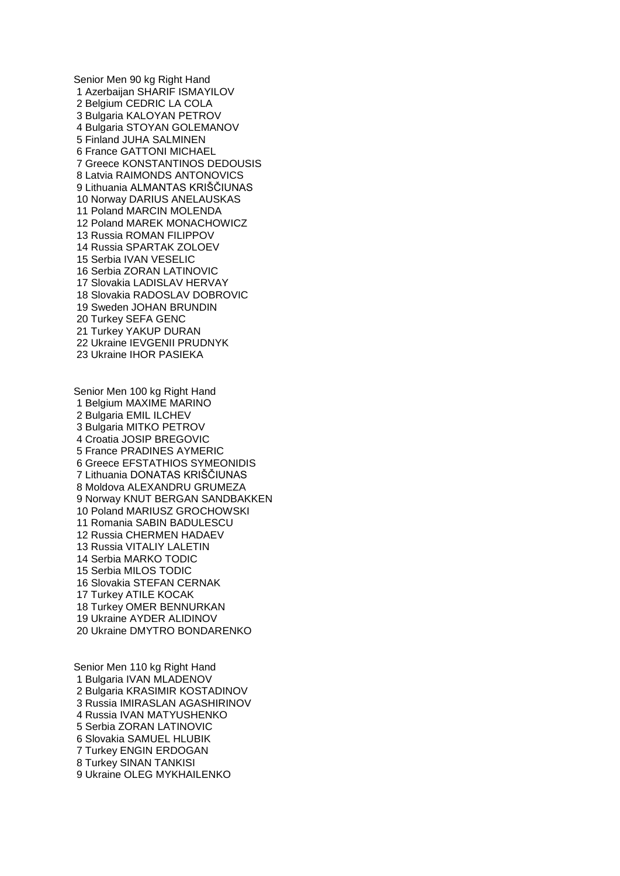Senior Men 90 kg Right Hand Azerbaijan SHARIF ISMAYILOV Belgium CEDRIC LA COLA Bulgaria KALOYAN PETROV Bulgaria STOYAN GOLEMANOV Finland JUHA SALMINEN France GATTONI MICHAEL Greece KONSTANTINOS DEDOUSIS Latvia RAIMONDS ANTONOVICS Lithuania ALMANTAS KRIŠČIUNAS Norway DARIUS ANELAUSKAS Poland MARCIN MOLENDA Poland MAREK MONACHOWICZ Russia ROMAN FILIPPOV Russia SPARTAK ZOLOEV Serbia IVAN VESELIC Serbia ZORAN LATINOVIC Slovakia LADISLAV HERVAY Slovakia RADOSLAV DOBROVIC Sweden JOHAN BRUNDIN Turkey SEFA GENC Turkey YAKUP DURAN Ukraine IEVGENII PRUDNYK Ukraine IHOR PASIEKA

Senior Men 100 kg Right Hand Belgium MAXIME MARINO Bulgaria EMIL ILCHEV Bulgaria MITKO PETROV Croatia JOSIP BREGOVIC France PRADINES AYMERIC Greece EFSTATHIOS SYMEONIDIS Lithuania DONATAS KRIŠČIUNAS Moldova ALEXANDRU GRUMEZA Norway KNUT BERGAN SANDBAKKEN Poland MARIUSZ GROCHOWSKI Romania SABIN BADULESCU Russia CHERMEN HADAEV Russia VITALIY LALETIN Serbia MARKO TODIC Serbia MILOS TODIC Slovakia STEFAN CERNAK Turkey ATILE KOCAK Turkey OMER BENNURKAN Ukraine AYDER ALIDINOV Ukraine DMYTRO BONDARENKO

Senior Men 110 kg Right Hand Bulgaria IVAN MLADENOV Bulgaria KRASIMIR KOSTADINOV Russia IMIRASLAN AGASHIRINOV Russia IVAN MATYUSHENKO Serbia ZORAN LATINOVIC Slovakia SAMUEL HLUBIK Turkey ENGIN ERDOGAN Turkey SINAN TANKISI Ukraine OLEG MYKHAILENKO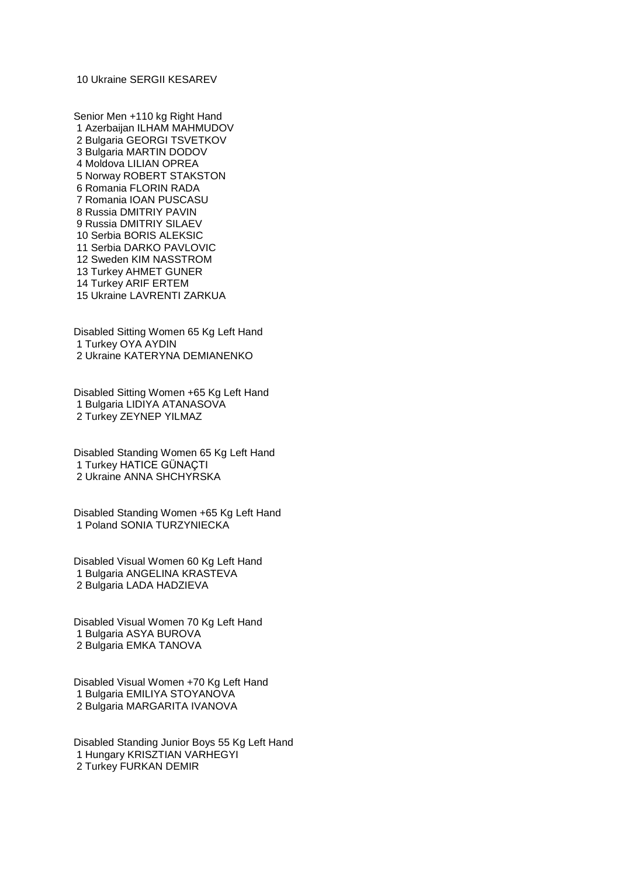Ukraine SERGII KESAREV

Senior Men +110 kg Right Hand Azerbaijan ILHAM MAHMUDOV Bulgaria GEORGI TSVETKOV Bulgaria MARTIN DODOV Moldova LILIAN OPREA Norway ROBERT STAKSTON Romania FLORIN RADA Romania IOAN PUSCASU Russia DMITRIY PAVIN Russia DMITRIY SILAEV Serbia BORIS ALEKSIC Serbia DARKO PAVLOVIC Sweden KIM NASSTROM Turkey AHMET GUNER Turkey ARIF ERTEM Ukraine LAVRENTI ZARKUA

Disabled Sitting Women 65 Kg Left Hand Turkey OYA AYDIN Ukraine KATERYNA DEMIANENKO

Disabled Sitting Women +65 Kg Left Hand Bulgaria LIDIYA ATANASOVA Turkey ZEYNEP YILMAZ

Disabled Standing Women 65 Kg Left Hand Turkey HATICE GÜNAÇTI Ukraine ANNA SHCHYRSKA

Disabled Standing Women +65 Kg Left Hand Poland SONIA TURZYNIECKA

Disabled Visual Women 60 Kg Left Hand Bulgaria ANGELINA KRASTEVA Bulgaria LADA HADZIEVA

Disabled Visual Women 70 Kg Left Hand Bulgaria ASYA BUROVA Bulgaria EMKA TANOVA

Disabled Visual Women +70 Kg Left Hand Bulgaria EMILIYA STOYANOVA Bulgaria MARGARITA IVANOVA

Disabled Standing Junior Boys 55 Kg Left Hand Hungary KRISZTIAN VARHEGYI Turkey FURKAN DEMIR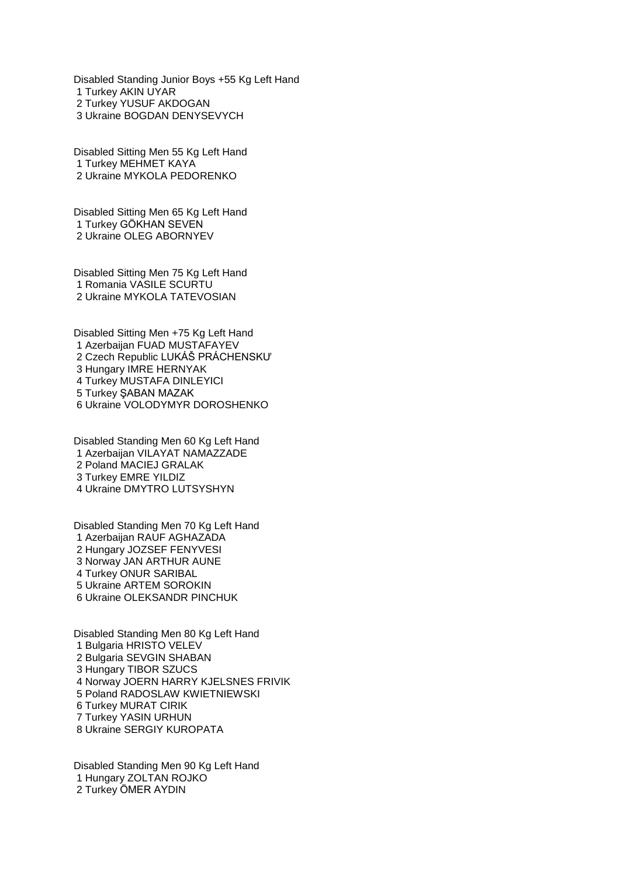Disabled Standing Junior Boys +55 Kg Left Hand Turkey AKIN UYAR Turkey YUSUF AKDOGAN Ukraine BOGDAN DENYSEVYCH

Disabled Sitting Men 55 Kg Left Hand Turkey MEHMET KAYA Ukraine MYKOLA PEDORENKO

Disabled Sitting Men 65 Kg Left Hand Turkey GÖKHAN SEVEN Ukraine OLEG ABORNYEV

Disabled Sitting Men 75 Kg Left Hand Romania VASILE SCURTU Ukraine MYKOLA TATEVOSIAN

Disabled Sitting Men +75 Kg Left Hand Azerbaijan FUAD MUSTAFAYEV Czech Republic LUKÁŠ PRÁCHENSKƯ Hungary IMRE HERNYAK Turkey MUSTAFA DINLEYICI Turkey ŞABAN MAZAK Ukraine VOLODYMYR DOROSHENKO

Disabled Standing Men 60 Kg Left Hand Azerbaijan VILAYAT NAMAZZADE Poland MACIEJ GRALAK Turkey EMRE YILDIZ Ukraine DMYTRO LUTSYSHYN

Disabled Standing Men 70 Kg Left Hand Azerbaijan RAUF AGHAZADA Hungary JOZSEF FENYVESI Norway JAN ARTHUR AUNE Turkey ONUR SARIBAL Ukraine ARTEM SOROKIN Ukraine OLEKSANDR PINCHUK

Disabled Standing Men 80 Kg Left Hand Bulgaria HRISTO VELEV Bulgaria SEVGIN SHABAN Hungary TIBOR SZUCS Norway JOERN HARRY KJELSNES FRIVIK Poland RADOSLAW KWIETNIEWSKI Turkey MURAT CIRIK Turkey YASIN URHUN Ukraine SERGIY KUROPATA

Disabled Standing Men 90 Kg Left Hand Hungary ZOLTAN ROJKO Turkey ÖMER AYDIN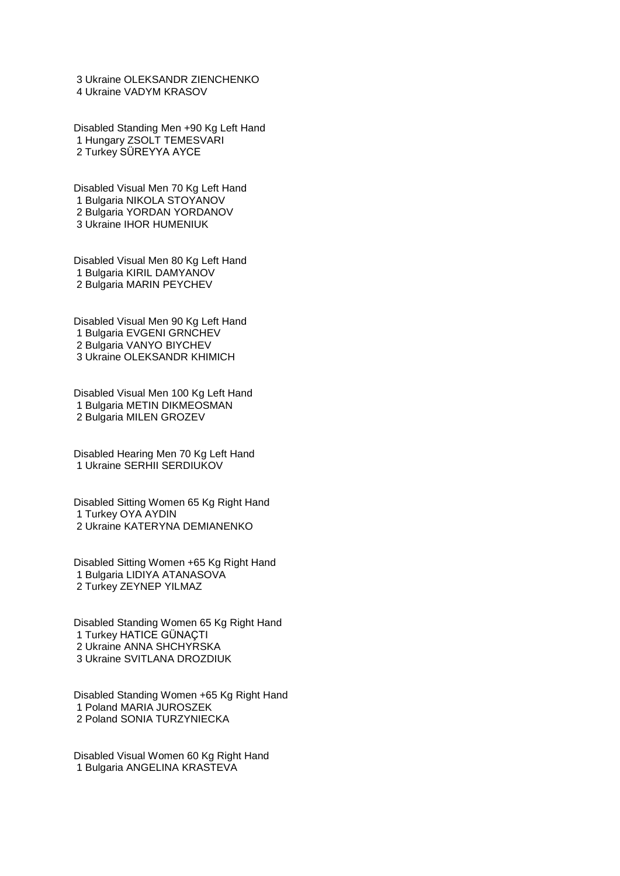Ukraine OLEKSANDR ZIENCHENKO Ukraine VADYM KRASOV

Disabled Standing Men +90 Kg Left Hand Hungary ZSOLT TEMESVARI Turkey SÜREYYA AYCE

Disabled Visual Men 70 Kg Left Hand Bulgaria NIKOLA STOYANOV Bulgaria YORDAN YORDANOV Ukraine IHOR HUMENIUK

Disabled Visual Men 80 Kg Left Hand Bulgaria KIRIL DAMYANOV Bulgaria MARIN PEYCHEV

Disabled Visual Men 90 Kg Left Hand Bulgaria EVGENI GRNCHEV Bulgaria VANYO BIYCHEV Ukraine OLEKSANDR KHIMICH

Disabled Visual Men 100 Kg Left Hand Bulgaria METIN DIKMEOSMAN Bulgaria MILEN GROZEV

Disabled Hearing Men 70 Kg Left Hand Ukraine SERHII SERDIUKOV

Disabled Sitting Women 65 Kg Right Hand Turkey OYA AYDIN Ukraine KATERYNA DEMIANENKO

Disabled Sitting Women +65 Kg Right Hand Bulgaria LIDIYA ATANASOVA Turkey ZEYNEP YILMAZ

Disabled Standing Women 65 Kg Right Hand Turkey HATICE GÜNAÇTI Ukraine ANNA SHCHYRSKA Ukraine SVITLANA DROZDIUK

Disabled Standing Women +65 Kg Right Hand Poland MARIA JUROSZEK Poland SONIA TURZYNIECKA

Disabled Visual Women 60 Kg Right Hand Bulgaria ANGELINA KRASTEVA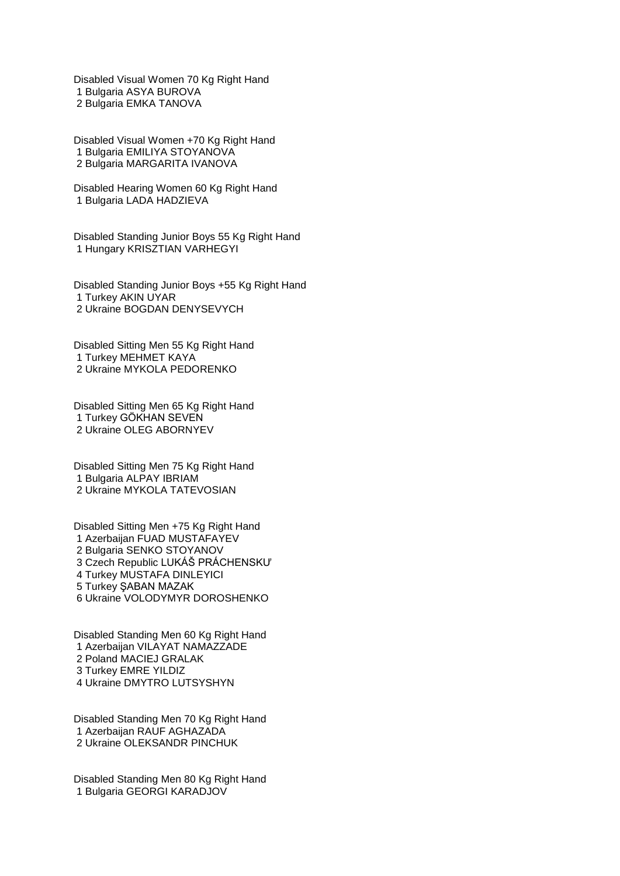Disabled Visual Women 70 Kg Right Hand Bulgaria ASYA BUROVA Bulgaria EMKA TANOVA

Disabled Visual Women +70 Kg Right Hand Bulgaria EMILIYA STOYANOVA Bulgaria MARGARITA IVANOVA

Disabled Hearing Women 60 Kg Right Hand Bulgaria LADA HADZIEVA

Disabled Standing Junior Boys 55 Kg Right Hand Hungary KRISZTIAN VARHEGYI

Disabled Standing Junior Boys +55 Kg Right Hand Turkey AKIN UYAR Ukraine BOGDAN DENYSEVYCH

Disabled Sitting Men 55 Kg Right Hand Turkey MEHMET KAYA Ukraine MYKOLA PEDORENKO

Disabled Sitting Men 65 Kg Right Hand Turkey GÖKHAN SEVEN Ukraine OLEG ABORNYEV

Disabled Sitting Men 75 Kg Right Hand Bulgaria ALPAY IBRIAM Ukraine MYKOLA TATEVOSIAN

Disabled Sitting Men +75 Kg Right Hand Azerbaijan FUAD MUSTAFAYEV Bulgaria SENKO STOYANOV Czech Republic LUKÁŠ PRÁCHENSKƯ Turkey MUSTAFA DINLEYICI Turkey ŞABAN MAZAK Ukraine VOLODYMYR DOROSHENKO

Disabled Standing Men 60 Kg Right Hand Azerbaijan VILAYAT NAMAZZADE Poland MACIEJ GRALAK Turkey EMRE YILDIZ Ukraine DMYTRO LUTSYSHYN

Disabled Standing Men 70 Kg Right Hand Azerbaijan RAUF AGHAZADA Ukraine OLEKSANDR PINCHUK

Disabled Standing Men 80 Kg Right Hand Bulgaria GEORGI KARADJOV